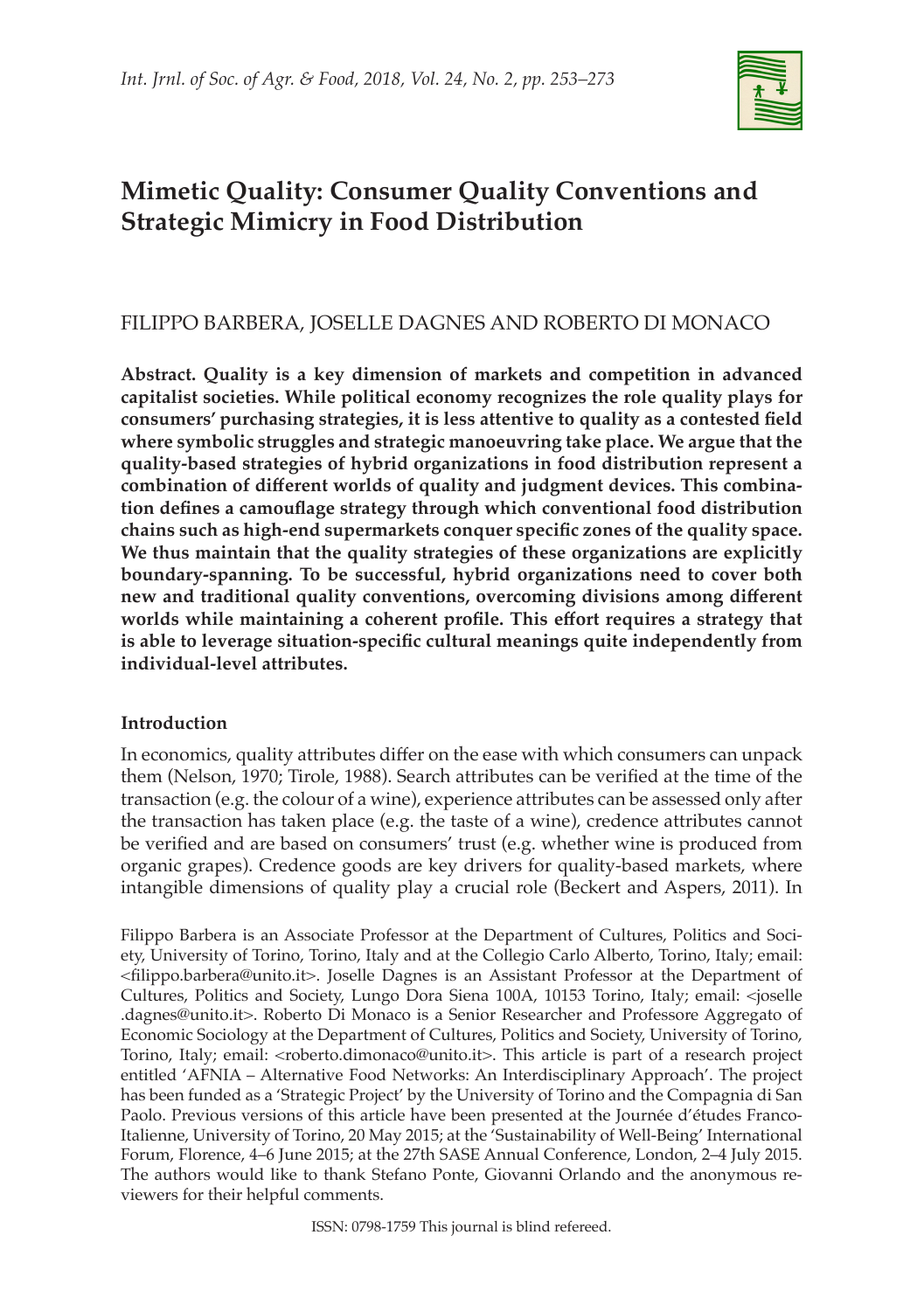

# **Mimetic Quality: Consumer Quality Conventions and Strategic Mimicry in Food Distribution**

# FILIPPO BARBERA, JOSELLE DAGNES AND ROBERTO DI MONACO

**Abstract. Quality is a key dimension of markets and competition in advanced capitalist societies. While political economy recognizes the role quality plays for consumers' purchasing strategies, it is less attentive to quality as a contested field where symbolic struggles and strategic manoeuvring take place. We argue that the quality-based strategies of hybrid organizations in food distribution represent a combination of different worlds of quality and judgment devices. This combination defines a camouflage strategy through which conventional food distribution chains such as high-end supermarkets conquer specific zones of the quality space. We thus maintain that the quality strategies of these organizations are explicitly boundary-spanning. To be successful, hybrid organizations need to cover both new and traditional quality conventions, overcoming divisions among different worlds while maintaining a coherent profile. This effort requires a strategy that is able to leverage situation-specific cultural meanings quite independently from individual-level attributes.**

# **Introduction**

In economics, quality attributes differ on the ease with which consumers can unpack them (Nelson, 1970; Tirole, 1988). Search attributes can be verified at the time of the transaction (e.g. the colour of a wine), experience attributes can be assessed only after the transaction has taken place (e.g. the taste of a wine), credence attributes cannot be verified and are based on consumers' trust (e.g. whether wine is produced from organic grapes). Credence goods are key drivers for quality-based markets, where intangible dimensions of quality play a crucial role (Beckert and Aspers, 2011). In

Filippo Barbera is an Associate Professor at the Department of Cultures, Politics and Society, University of Torino, Torino, Italy and at the Collegio Carlo Alberto, Torino, Italy; email: <filippo.barbera@unito.it>. Joselle Dagnes is an Assistant Professor at the Department of Cultures, Politics and Society, Lungo Dora Siena 100A, 10153 Torino, Italy; email: <joselle .dagnes@unito.it>. Roberto Di Monaco is a Senior Researcher and Professore Aggregato of Economic Sociology at the Department of Cultures, Politics and Society, University of Torino, Torino, Italy; email: <roberto.dimonaco@unito.it>. This article is part of a research project entitled 'AFNIA – Alternative Food Networks: An Interdisciplinary Approach'. The project has been funded as a 'Strategic Project' by the University of Torino and the Compagnia di San Paolo. Previous versions of this article have been presented at the Journée d'études Franco-Italienne, University of Torino, 20 May 2015; at the 'Sustainability of Well-Being' International Forum, Florence, 4–6 June 2015; at the 27th SASE Annual Conference, London, 2–4 July 2015. The authors would like to thank Stefano Ponte, Giovanni Orlando and the anonymous reviewers for their helpful comments.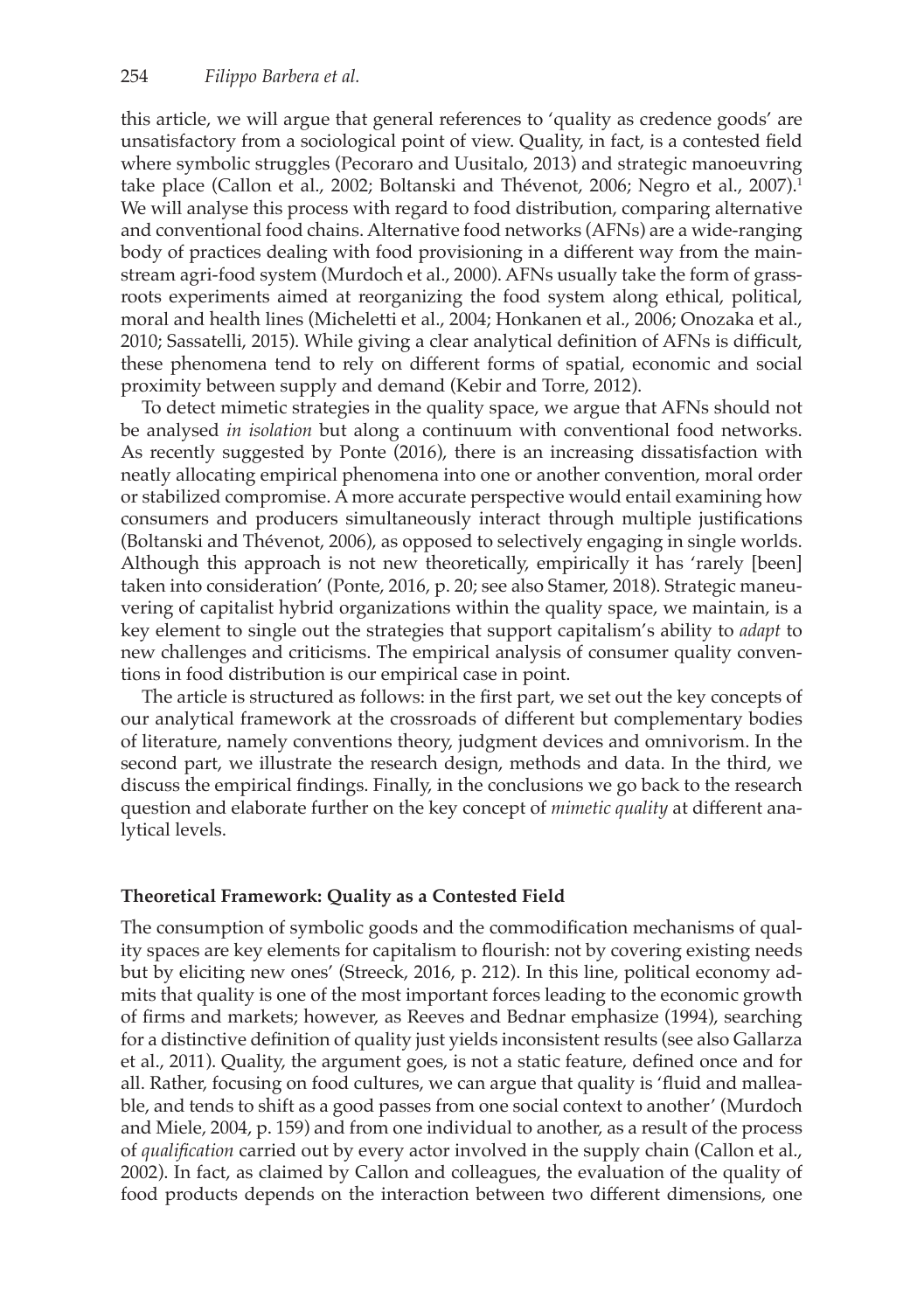this article, we will argue that general references to 'quality as credence goods' are unsatisfactory from a sociological point of view. Quality, in fact, is a contested field where symbolic struggles (Pecoraro and Uusitalo, 2013) and strategic manoeuvring take place (Callon et al., 2002; Boltanski and Thévenot, 2006; Negro et al., 2007).<sup>1</sup> We will analyse this process with regard to food distribution, comparing alternative and conventional food chains. Alternative food networks (AFNs) are a wide-ranging body of practices dealing with food provisioning in a different way from the mainstream agri-food system (Murdoch et al., 2000). AFNs usually take the form of grassroots experiments aimed at reorganizing the food system along ethical, political, moral and health lines (Micheletti et al., 2004; Honkanen et al., 2006; Onozaka et al., 2010; Sassatelli, 2015). While giving a clear analytical definition of AFNs is difficult, these phenomena tend to rely on different forms of spatial, economic and social proximity between supply and demand (Kebir and Torre, 2012).

To detect mimetic strategies in the quality space, we argue that AFNs should not be analysed *in isolation* but along a continuum with conventional food networks. As recently suggested by Ponte (2016), there is an increasing dissatisfaction with neatly allocating empirical phenomena into one or another convention, moral order or stabilized compromise. A more accurate perspective would entail examining how consumers and producers simultaneously interact through multiple justifications (Boltanski and Thévenot, 2006), as opposed to selectively engaging in single worlds. Although this approach is not new theoretically, empirically it has 'rarely [been] taken into consideration' (Ponte, 2016, p. 20; see also Stamer, 2018). Strategic maneuvering of capitalist hybrid organizations within the quality space, we maintain, is a key element to single out the strategies that support capitalism's ability to *adapt* to new challenges and criticisms. The empirical analysis of consumer quality conventions in food distribution is our empirical case in point.

The article is structured as follows: in the first part, we set out the key concepts of our analytical framework at the crossroads of different but complementary bodies of literature, namely conventions theory, judgment devices and omnivorism. In the second part, we illustrate the research design, methods and data. In the third, we discuss the empirical findings. Finally, in the conclusions we go back to the research question and elaborate further on the key concept of *mimetic quality* at different analytical levels.

#### **Theoretical Framework: Quality as a Contested Field**

The consumption of symbolic goods and the commodification mechanisms of quality spaces are key elements for capitalism to flourish: not by covering existing needs but by eliciting new ones' (Streeck, 2016, p. 212). In this line, political economy admits that quality is one of the most important forces leading to the economic growth of firms and markets; however, as Reeves and Bednar emphasize (1994), searching for a distinctive definition of quality just yields inconsistent results (see also Gallarza et al., 2011). Quality, the argument goes, is not a static feature, defined once and for all. Rather, focusing on food cultures, we can argue that quality is 'fluid and malleable, and tends to shift as a good passes from one social context to another' (Murdoch and Miele, 2004, p. 159) and from one individual to another, as a result of the process of *qualification* carried out by every actor involved in the supply chain (Callon et al., 2002). In fact, as claimed by Callon and colleagues, the evaluation of the quality of food products depends on the interaction between two different dimensions, one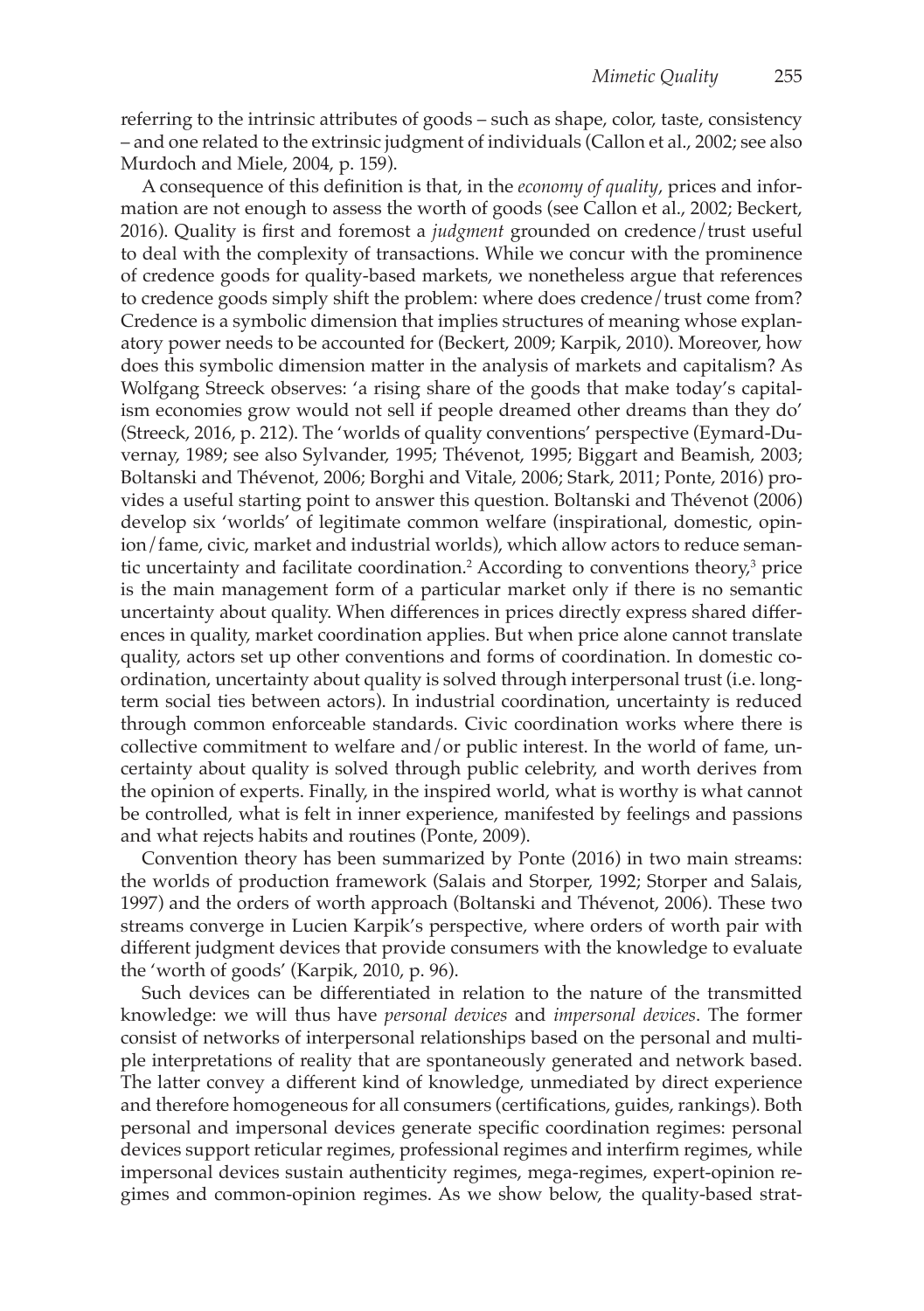referring to the intrinsic attributes of goods – such as shape, color, taste, consistency – and one related to the extrinsic judgment of individuals (Callon et al., 2002; see also Murdoch and Miele, 2004, p. 159).

A consequence of this definition is that, in the *economy of quality*, prices and information are not enough to assess the worth of goods (see Callon et al., 2002; Beckert, 2016). Quality is first and foremost a *judgment* grounded on credence/trust useful to deal with the complexity of transactions. While we concur with the prominence of credence goods for quality-based markets, we nonetheless argue that references to credence goods simply shift the problem: where does credence/trust come from? Credence is a symbolic dimension that implies structures of meaning whose explanatory power needs to be accounted for (Beckert, 2009; Karpik, 2010). Moreover, how does this symbolic dimension matter in the analysis of markets and capitalism? As Wolfgang Streeck observes: 'a rising share of the goods that make today's capitalism economies grow would not sell if people dreamed other dreams than they do' (Streeck, 2016, p. 212). The 'worlds of quality conventions' perspective (Eymard-Duvernay, 1989; see also Sylvander, 1995; Thévenot, 1995; Biggart and Beamish, 2003; Boltanski and Thévenot, 2006; Borghi and Vitale, 2006; Stark, 2011; Ponte, 2016) provides a useful starting point to answer this question. Boltanski and Thévenot (2006) develop six 'worlds' of legitimate common welfare (inspirational, domestic, opinion/fame, civic, market and industrial worlds), which allow actors to reduce semantic uncertainty and facilitate coordination.<sup>2</sup> According to conventions theory,<sup>3</sup> price is the main management form of a particular market only if there is no semantic uncertainty about quality. When differences in prices directly express shared differences in quality, market coordination applies. But when price alone cannot translate quality, actors set up other conventions and forms of coordination. In domestic coordination, uncertainty about quality is solved through interpersonal trust (i.e. longterm social ties between actors). In industrial coordination, uncertainty is reduced through common enforceable standards. Civic coordination works where there is collective commitment to welfare and/or public interest. In the world of fame, uncertainty about quality is solved through public celebrity, and worth derives from the opinion of experts. Finally, in the inspired world, what is worthy is what cannot be controlled, what is felt in inner experience, manifested by feelings and passions and what rejects habits and routines (Ponte, 2009).

Convention theory has been summarized by Ponte (2016) in two main streams: the worlds of production framework (Salais and Storper, 1992; Storper and Salais, 1997) and the orders of worth approach (Boltanski and Thévenot, 2006). These two streams converge in Lucien Karpik's perspective, where orders of worth pair with different judgment devices that provide consumers with the knowledge to evaluate the 'worth of goods' (Karpik, 2010, p. 96).

Such devices can be differentiated in relation to the nature of the transmitted knowledge: we will thus have *personal devices* and *impersonal devices*. The former consist of networks of interpersonal relationships based on the personal and multiple interpretations of reality that are spontaneously generated and network based. The latter convey a different kind of knowledge, unmediated by direct experience and therefore homogeneous for all consumers (certifications, guides, rankings). Both personal and impersonal devices generate specific coordination regimes: personal devices support reticular regimes, professional regimes and interfirm regimes, while impersonal devices sustain authenticity regimes, mega-regimes, expert-opinion regimes and common-opinion regimes. As we show below, the quality-based strat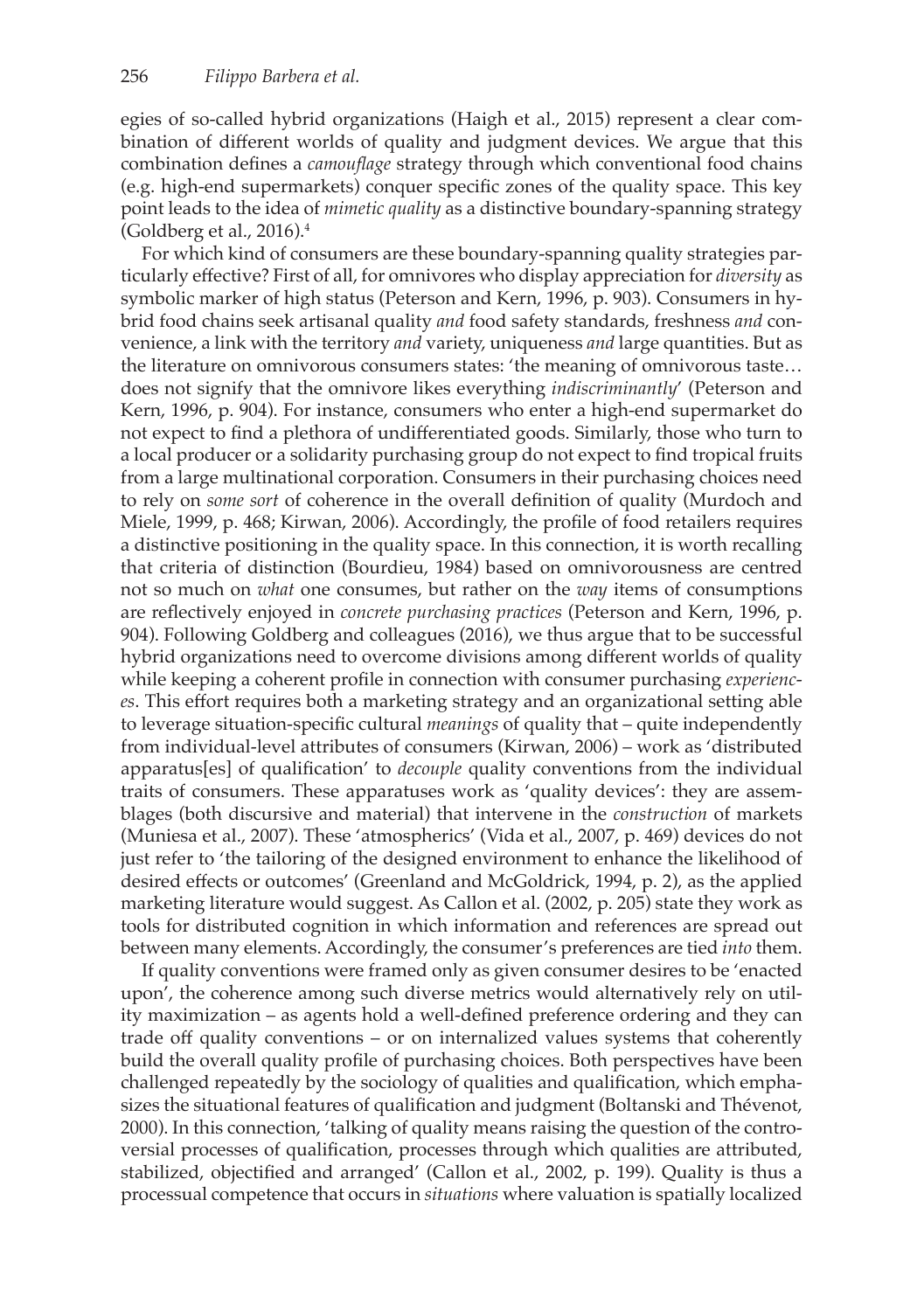egies of so-called hybrid organizations (Haigh et al., 2015) represent a clear combination of different worlds of quality and judgment devices. We argue that this combination defines a *camouflage* strategy through which conventional food chains (e.g. high-end supermarkets) conquer specific zones of the quality space. This key point leads to the idea of *mimetic quality* as a distinctive boundary-spanning strategy (Goldberg et al., 2016). $4$ 

For which kind of consumers are these boundary-spanning quality strategies particularly effective? First of all, for omnivores who display appreciation for *diversity* as symbolic marker of high status (Peterson and Kern, 1996, p. 903). Consumers in hybrid food chains seek artisanal quality *and* food safety standards, freshness *and* convenience, a link with the territory *and* variety, uniqueness *and* large quantities. But as the literature on omnivorous consumers states: 'the meaning of omnivorous taste… does not signify that the omnivore likes everything *indiscriminantly*' (Peterson and Kern, 1996, p. 904). For instance, consumers who enter a high-end supermarket do not expect to find a plethora of undifferentiated goods. Similarly, those who turn to a local producer or a solidarity purchasing group do not expect to find tropical fruits from a large multinational corporation. Consumers in their purchasing choices need to rely on *some sort* of coherence in the overall definition of quality (Murdoch and Miele, 1999, p. 468; Kirwan, 2006). Accordingly, the profile of food retailers requires a distinctive positioning in the quality space. In this connection, it is worth recalling that criteria of distinction (Bourdieu, 1984) based on omnivorousness are centred not so much on *what* one consumes, but rather on the *way* items of consumptions are reflectively enjoyed in *concrete purchasing practices* (Peterson and Kern, 1996, p. 904). Following Goldberg and colleagues (2016), we thus argue that to be successful hybrid organizations need to overcome divisions among different worlds of quality while keeping a coherent profile in connection with consumer purchasing *experiences*. This effort requires both a marketing strategy and an organizational setting able to leverage situation-specific cultural *meanings* of quality that – quite independently from individual-level attributes of consumers (Kirwan, 2006) – work as 'distributed apparatus[es] of qualification' to *decouple* quality conventions from the individual traits of consumers. These apparatuses work as 'quality devices': they are assemblages (both discursive and material) that intervene in the *construction* of markets (Muniesa et al., 2007). These 'atmospherics' (Vida et al., 2007, p. 469) devices do not just refer to 'the tailoring of the designed environment to enhance the likelihood of desired effects or outcomes' (Greenland and McGoldrick, 1994, p. 2), as the applied marketing literature would suggest. As Callon et al. (2002, p. 205) state they work as tools for distributed cognition in which information and references are spread out between many elements. Accordingly, the consumer's preferences are tied *into* them.

If quality conventions were framed only as given consumer desires to be 'enacted upon', the coherence among such diverse metrics would alternatively rely on utility maximization – as agents hold a well-defined preference ordering and they can trade off quality conventions – or on internalized values systems that coherently build the overall quality profile of purchasing choices. Both perspectives have been challenged repeatedly by the sociology of qualities and qualification, which emphasizes the situational features of qualification and judgment (Boltanski and Thévenot, 2000). In this connection, 'talking of quality means raising the question of the controversial processes of qualification, processes through which qualities are attributed, stabilized, objectified and arranged' (Callon et al., 2002, p. 199). Quality is thus a processual competence that occurs in *situations* where valuation is spatially localized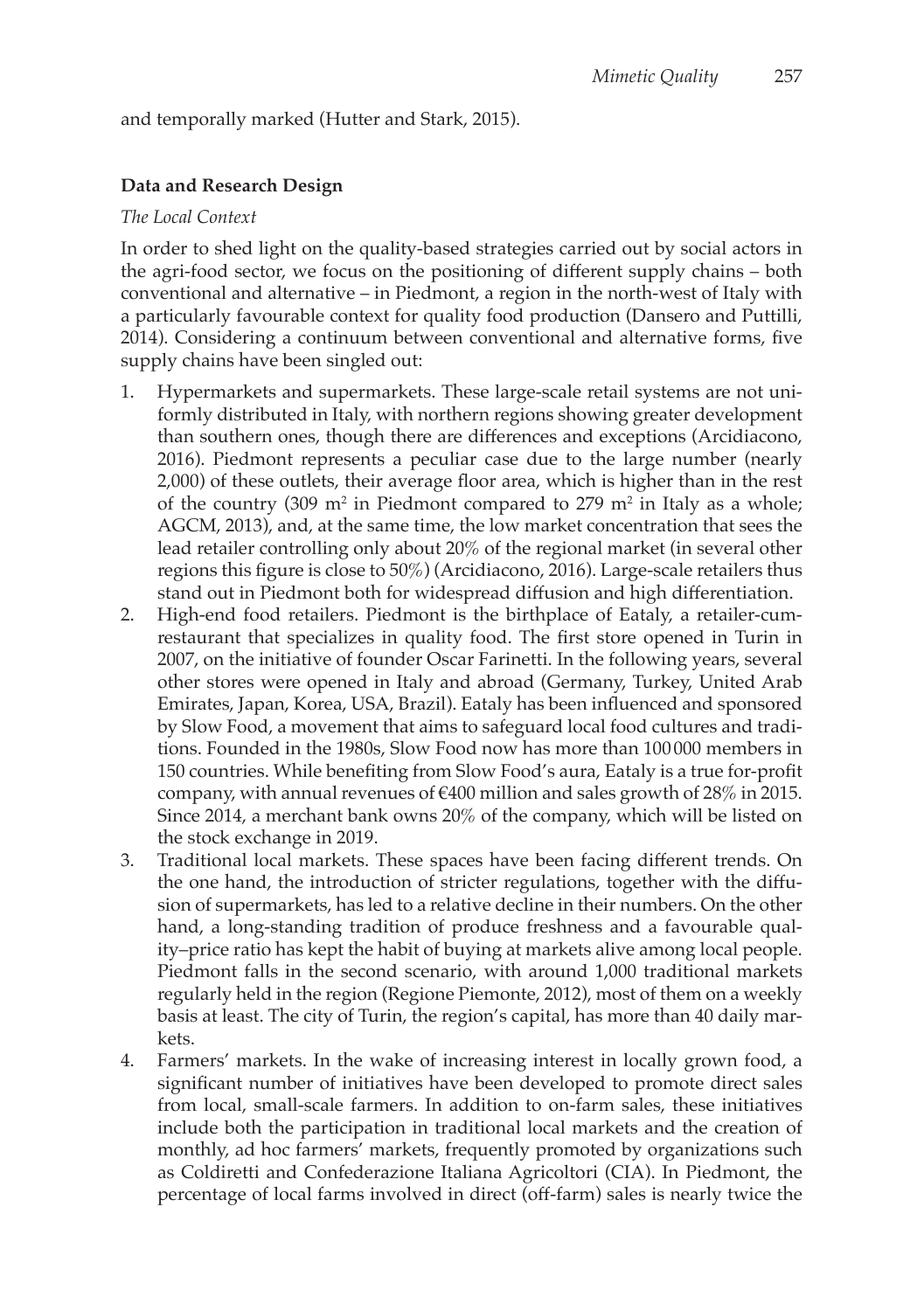and temporally marked (Hutter and Stark, 2015).

### **Data and Research Design**

#### *The Local Context*

In order to shed light on the quality-based strategies carried out by social actors in the agri-food sector, we focus on the positioning of different supply chains – both conventional and alternative – in Piedmont, a region in the north-west of Italy with a particularly favourable context for quality food production (Dansero and Puttilli, 2014). Considering a continuum between conventional and alternative forms, five supply chains have been singled out:

- 1. Hypermarkets and supermarkets. These large-scale retail systems are not uniformly distributed in Italy, with northern regions showing greater development than southern ones, though there are differences and exceptions (Arcidiacono, 2016). Piedmont represents a peculiar case due to the large number (nearly 2,000) of these outlets, their average floor area, which is higher than in the rest of the country (309  $m^2$  in Piedmont compared to 279  $m^2$  in Italy as a whole; AGCM, 2013), and, at the same time, the low market concentration that sees the lead retailer controlling only about 20% of the regional market (in several other regions this figure is close to 50%) (Arcidiacono, 2016). Large-scale retailers thus stand out in Piedmont both for widespread diffusion and high differentiation.
- 2. High-end food retailers. Piedmont is the birthplace of Eataly, a retailer-cumrestaurant that specializes in quality food. The first store opened in Turin in 2007, on the initiative of founder Oscar Farinetti. In the following years, several other stores were opened in Italy and abroad (Germany, Turkey, United Arab Emirates, Japan, Korea, USA, Brazil). Eataly has been influenced and sponsored by Slow Food, a movement that aims to safeguard local food cultures and traditions. Founded in the 1980s, Slow Food now has more than 100000 members in 150 countries. While benefiting from Slow Food's aura, Eataly is a true for-profit company, with annual revenues of  $\epsilon$ 400 million and sales growth of 28% in 2015. Since 2014, a merchant bank owns 20% of the company, which will be listed on the stock exchange in 2019.
- 3. Traditional local markets. These spaces have been facing different trends. On the one hand, the introduction of stricter regulations, together with the diffusion of supermarkets, has led to a relative decline in their numbers. On the other hand, a long-standing tradition of produce freshness and a favourable quality–price ratio has kept the habit of buying at markets alive among local people. Piedmont falls in the second scenario, with around 1,000 traditional markets regularly held in the region (Regione Piemonte, 2012), most of them on a weekly basis at least. The city of Turin, the region's capital, has more than 40 daily markets.
- 4. Farmers' markets. In the wake of increasing interest in locally grown food, a significant number of initiatives have been developed to promote direct sales from local, small-scale farmers. In addition to on-farm sales, these initiatives include both the participation in traditional local markets and the creation of monthly, ad hoc farmers' markets, frequently promoted by organizations such as Coldiretti and Confederazione Italiana Agricoltori (CIA). In Piedmont, the percentage of local farms involved in direct (off-farm) sales is nearly twice the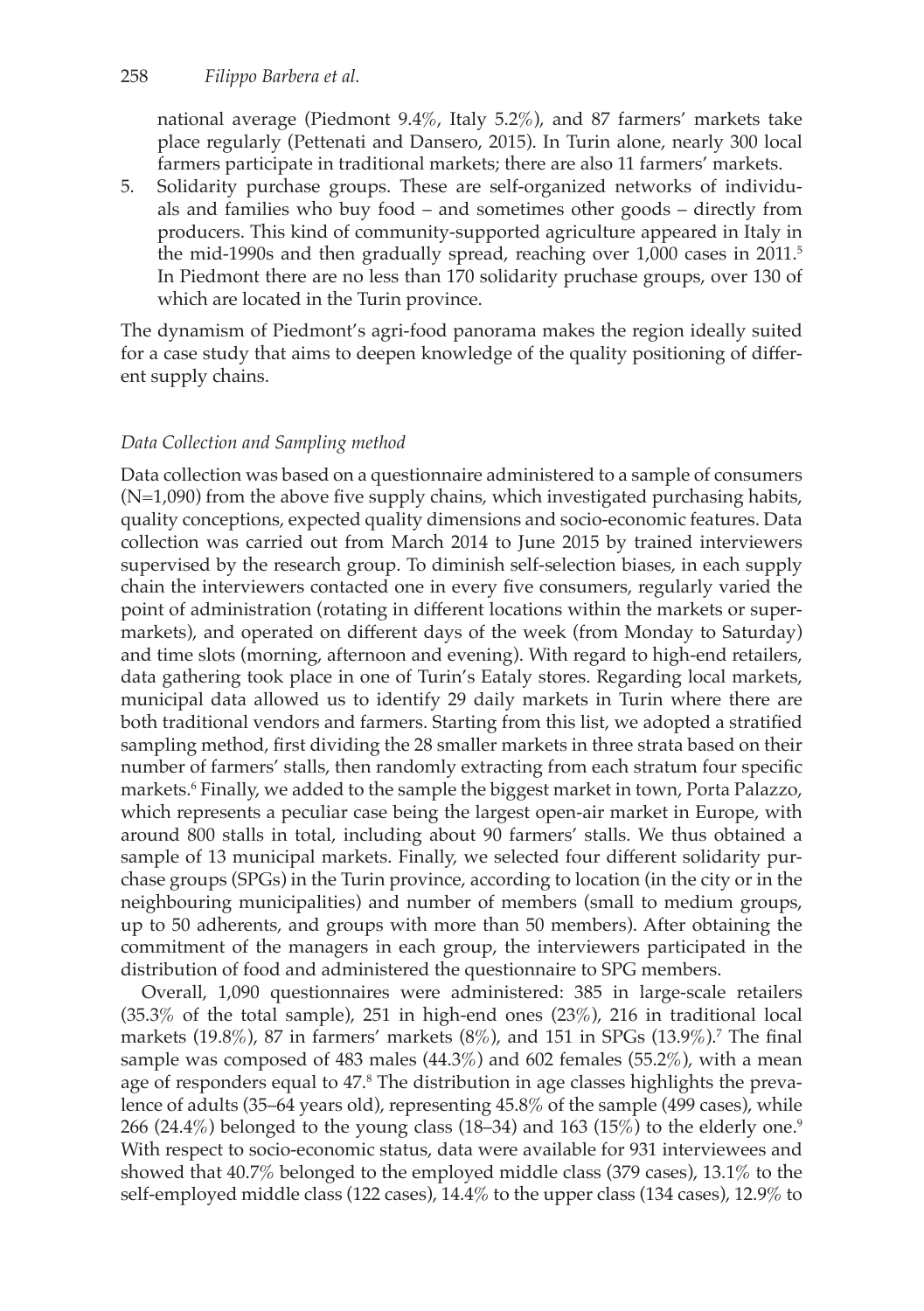#### 258 *Filippo Barbera et al.*

national average (Piedmont 9.4%, Italy 5.2%), and 87 farmers' markets take place regularly (Pettenati and Dansero, 2015). In Turin alone, nearly 300 local farmers participate in traditional markets; there are also 11 farmers' markets.

5. Solidarity purchase groups. These are self-organized networks of individuals and families who buy food – and sometimes other goods – directly from producers. This kind of community-supported agriculture appeared in Italy in the mid-1990s and then gradually spread, reaching over 1,000 cases in 2011.<sup>5</sup> In Piedmont there are no less than 170 solidarity pruchase groups, over 130 of which are located in the Turin province.

The dynamism of Piedmont's agri-food panorama makes the region ideally suited for a case study that aims to deepen knowledge of the quality positioning of different supply chains.

#### *Data Collection and Sampling method*

Data collection was based on a questionnaire administered to a sample of consumers (N=1,090) from the above five supply chains, which investigated purchasing habits, quality conceptions, expected quality dimensions and socio-economic features. Data collection was carried out from March 2014 to June 2015 by trained interviewers supervised by the research group. To diminish self-selection biases, in each supply chain the interviewers contacted one in every five consumers, regularly varied the point of administration (rotating in different locations within the markets or supermarkets), and operated on different days of the week (from Monday to Saturday) and time slots (morning, afternoon and evening). With regard to high-end retailers, data gathering took place in one of Turin's Eataly stores. Regarding local markets, municipal data allowed us to identify 29 daily markets in Turin where there are both traditional vendors and farmers. Starting from this list, we adopted a stratified sampling method, first dividing the 28 smaller markets in three strata based on their number of farmers' stalls, then randomly extracting from each stratum four specific markets.<sup>6</sup> Finally, we added to the sample the biggest market in town, Porta Palazzo, which represents a peculiar case being the largest open-air market in Europe, with around 800 stalls in total, including about 90 farmers' stalls. We thus obtained a sample of 13 municipal markets. Finally, we selected four different solidarity purchase groups (SPGs) in the Turin province, according to location (in the city or in the neighbouring municipalities) and number of members (small to medium groups, up to 50 adherents, and groups with more than 50 members). After obtaining the commitment of the managers in each group, the interviewers participated in the distribution of food and administered the questionnaire to SPG members.

Overall, 1,090 questionnaires were administered: 385 in large-scale retailers (35.3% of the total sample), 251 in high-end ones (23%), 216 in traditional local markets (19.8%), 87 in farmers' markets (8%), and 151 in SPGs (13.9%).<sup>7</sup> The final sample was composed of 483 males (44.3%) and 602 females (55.2%), with a mean age of responders equal to 47.<sup>8</sup> The distribution in age classes highlights the prevalence of adults (35–64 years old), representing 45.8% of the sample (499 cases), while 266 (24.4%) belonged to the young class (18–34) and 163 (15%) to the elderly one.<sup>9</sup> With respect to socio-economic status, data were available for 931 interviewees and showed that 40.7% belonged to the employed middle class (379 cases), 13.1% to the self-employed middle class (122 cases), 14.4% to the upper class (134 cases), 12.9% to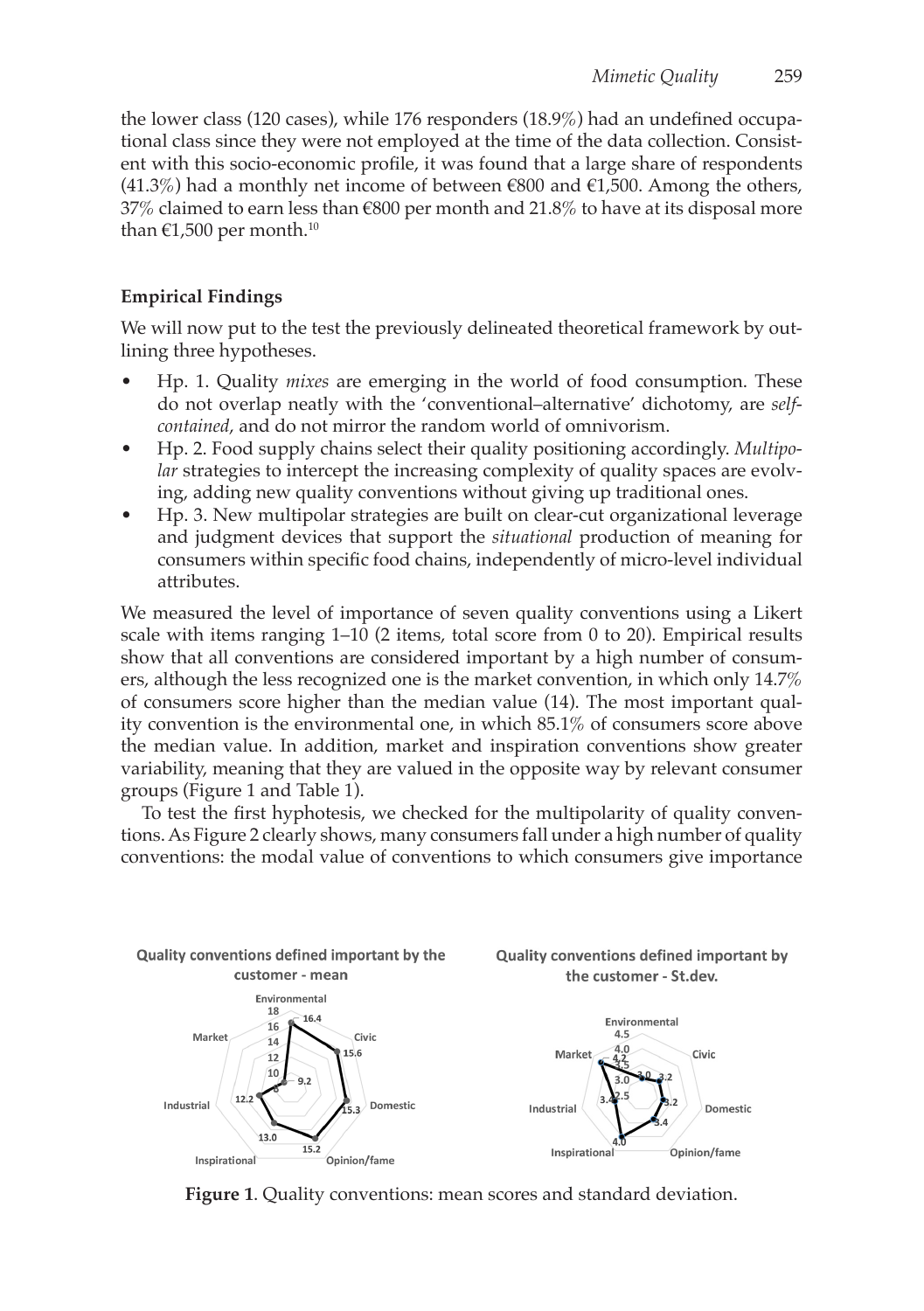the lower class (120 cases), while 176 responders (18.9%) had an undefined occupational class since they were not employed at the time of the data collection. Consistent with this socio-economic profile, it was found that a large share of respondents  $(41.3\%)$  had a monthly net income of between €800 and €1,500. Among the others, 37% claimed to earn less than  $\epsilon$ 800 per month and 21.8% to have at its disposal more than  $\epsilon$ 1,500 per month.<sup>10</sup>

# **Empirical Findings**

We will now put to the test the previously delineated theoretical framework by outlining three hypotheses.

- Hp. 1. Quality *mixes* are emerging in the world of food consumption. These do not overlap neatly with the 'conventional–alternative' dichotomy, are *selfcontained*, and do not mirror the random world of omnivorism.
- Hp. 2. Food supply chains select their quality positioning accordingly. *Multipolar* strategies to intercept the increasing complexity of quality spaces are evolving, adding new quality conventions without giving up traditional ones.
- Hp. 3. New multipolar strategies are built on clear-cut organizational leverage and judgment devices that support the *situational* production of meaning for consumers within specific food chains, independently of micro-level individual attributes.

We measured the level of importance of seven quality conventions using a Likert scale with items ranging 1–10 (2 items, total score from 0 to 20). Empirical results show that all conventions are considered important by a high number of consumers, although the less recognized one is the market convention, in which only 14.7% of consumers score higher than the median value (14). The most important quality convention is the environmental one, in which 85.1% of consumers score above the median value. In addition, market and inspiration conventions show greater variability, meaning that they are valued in the opposite way by relevant consumer groups (Figure 1 and Table 1).

To test the first hyphotesis, we checked for the multipolarity of quality conventions. As Figure 2 clearly shows, many consumers fall under a high number of quality conventions: the modal value of conventions to which consumers give importance



**Figure 1**. Quality conventions: mean scores and standard deviation.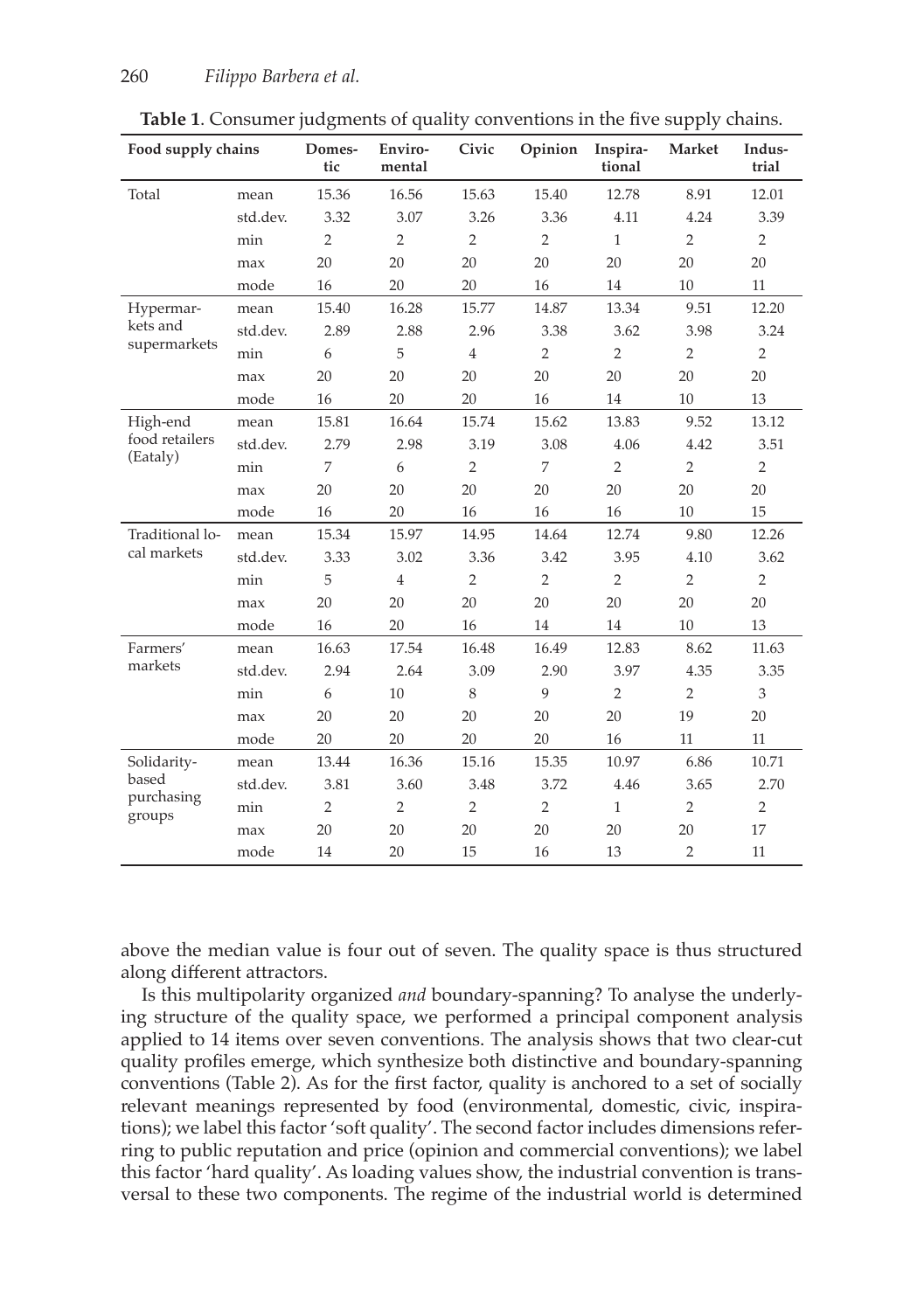| Food supply chains   |          | Domes-<br>tic  | Enviro-<br>mental | Civic          | Opinion        | Inspira-<br>tional | Market         | Indus-<br>trial |
|----------------------|----------|----------------|-------------------|----------------|----------------|--------------------|----------------|-----------------|
| Total                | mean     | 15.36          | 16.56             | 15.63          | 15.40          | 12.78              | 8.91           | 12.01           |
|                      | std.dev. | 3.32           | 3.07              | 3.26           | 3.36           | 4.11               | 4.24           | 3.39            |
|                      | min      | $\overline{2}$ | $\overline{2}$    | $\overline{2}$ | $\overline{2}$ | $\mathbf{1}$       | $\overline{2}$ | $\overline{2}$  |
|                      | max      | 20             | 20                | 20             | 20             | 20                 | 20             | 20              |
|                      | mode     | 16             | 20                | 20             | 16             | 14                 | 10             | 11              |
| Hypermar-            | mean     | 15.40          | 16.28             | 15.77          | 14.87          | 13.34              | 9.51           | 12.20           |
| kets and             | std.dev. | 2.89           | 2.88              | 2.96           | 3.38           | 3.62               | 3.98           | 3.24            |
| supermarkets         | min      | 6              | 5                 | $\overline{4}$ | $\overline{2}$ | $\overline{2}$     | $\overline{2}$ | $\overline{2}$  |
|                      | max      | 20             | 20                | 20             | 20             | 20                 | 20             | 20              |
|                      | mode     | 16             | 20                | 20             | 16             | 14                 | 10             | 13              |
| High-end             | mean     | 15.81          | 16.64             | 15.74          | 15.62          | 13.83              | 9.52           | 13.12           |
| food retailers       | std.dev. | 2.79           | 2.98              | 3.19           | 3.08           | 4.06               | 4.42           | 3.51            |
| (Eataly)             | min      | 7              | 6                 | $\overline{2}$ | 7              | $\overline{2}$     | $\overline{2}$ | $\overline{2}$  |
|                      | max      | 20             | 20                | 20             | 20             | 20                 | 20             | 20              |
|                      | mode     | 16             | 20                | 16             | 16             | 16                 | 10             | 15              |
| Traditional lo-      | mean     | 15.34          | 15.97             | 14.95          | 14.64          | 12.74              | 9.80           | 12.26           |
| cal markets          | std.dev. | 3.33           | 3.02              | 3.36           | 3.42           | 3.95               | 4.10           | 3.62            |
|                      | min      | 5              | $\overline{4}$    | $\overline{2}$ | $\overline{2}$ | $\overline{2}$     | $\overline{2}$ | $\overline{2}$  |
|                      | max      | 20             | 20                | 20             | 20             | 20                 | 20             | 20              |
|                      | mode     | 16             | 20                | 16             | 14             | 14                 | 10             | 13              |
| Farmers'             | mean     | 16.63          | 17.54             | 16.48          | 16.49          | 12.83              | 8.62           | 11.63           |
| markets              | std.dev. | 2.94           | 2.64              | 3.09           | 2.90           | 3.97               | 4.35           | 3.35            |
|                      | min      | 6              | 10                | 8              | 9              | $\overline{2}$     | $\overline{2}$ | 3               |
|                      | max      | 20             | 20                | 20             | 20             | 20                 | 19             | 20              |
|                      | mode     | 20             | 20                | 20             | 20             | 16                 | 11             | 11              |
| Solidarity-          | mean     | 13.44          | 16.36             | 15.16          | 15.35          | 10.97              | 6.86           | 10.71           |
| based                | std.dev. | 3.81           | 3.60              | 3.48           | 3.72           | 4.46               | 3.65           | 2.70            |
| purchasing<br>groups | min      | $\overline{2}$ | $\overline{2}$    | $\overline{2}$ | $\overline{2}$ | $\mathbf{1}$       | $\overline{2}$ | $\overline{2}$  |
|                      | max      | 20             | 20                | 20             | 20             | 20                 | 20             | 17              |
|                      | mode     | 14             | 20                | 15             | 16             | 13                 | $\overline{2}$ | 11              |

**Table 1**. Consumer judgments of quality conventions in the five supply chains.

above the median value is four out of seven. The quality space is thus structured along different attractors.

Is this multipolarity organized *and* boundary-spanning? To analyse the underlying structure of the quality space, we performed a principal component analysis applied to 14 items over seven conventions. The analysis shows that two clear-cut quality profiles emerge, which synthesize both distinctive and boundary-spanning conventions (Table 2). As for the first factor, quality is anchored to a set of socially relevant meanings represented by food (environmental, domestic, civic, inspirations); we label this factor 'soft quality'. The second factor includes dimensions referring to public reputation and price (opinion and commercial conventions); we label this factor 'hard quality'. As loading values show, the industrial convention is transversal to these two components. The regime of the industrial world is determined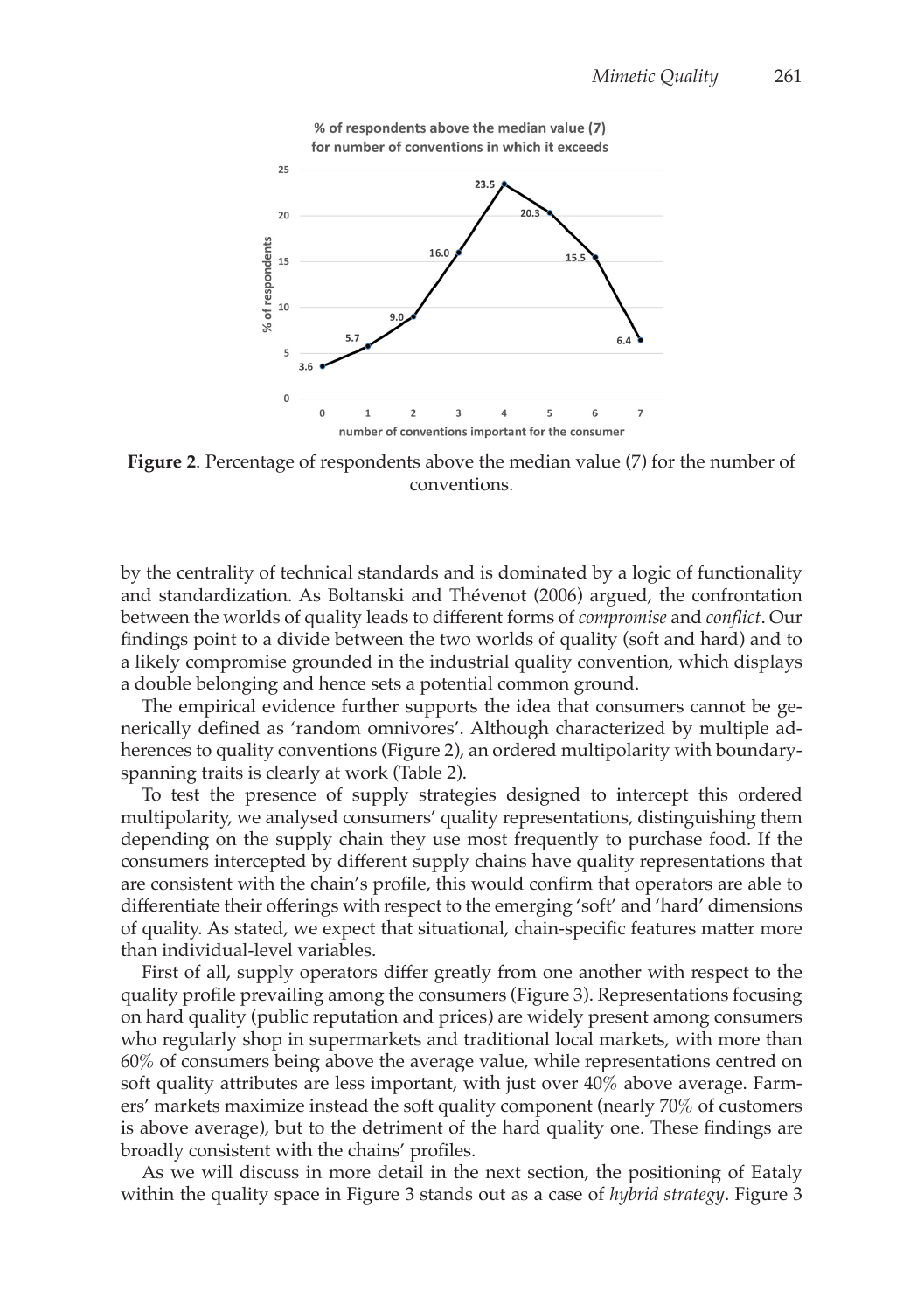

**Figure 2**. Percentage of respondents above the median value (7) for the number of conventions.

by the centrality of technical standards and is dominated by a logic of functionality and standardization. As Boltanski and Thévenot (2006) argued, the confrontation between the worlds of quality leads to different forms of *compromise* and *conflict*. Our findings point to a divide between the two worlds of quality (soft and hard) and to a likely compromise grounded in the industrial quality convention, which displays a double belonging and hence sets a potential common ground.

The empirical evidence further supports the idea that consumers cannot be generically defined as 'random omnivores'. Although characterized by multiple adherences to quality conventions (Figure 2), an ordered multipolarity with boundaryspanning traits is clearly at work (Table 2).

To test the presence of supply strategies designed to intercept this ordered multipolarity, we analysed consumers' quality representations, distinguishing them depending on the supply chain they use most frequently to purchase food. If the consumers intercepted by different supply chains have quality representations that are consistent with the chain's profile, this would confirm that operators are able to differentiate their offerings with respect to the emerging 'soft' and 'hard' dimensions of quality. As stated, we expect that situational, chain-specific features matter more than individual-level variables.

First of all, supply operators differ greatly from one another with respect to the quality profile prevailing among the consumers (Figure 3). Representations focusing on hard quality (public reputation and prices) are widely present among consumers who regularly shop in supermarkets and traditional local markets, with more than 60% of consumers being above the average value, while representations centred on soft quality attributes are less important, with just over 40% above average. Farmers' markets maximize instead the soft quality component (nearly 70% of customers is above average), but to the detriment of the hard quality one. These findings are broadly consistent with the chains' profiles.

As we will discuss in more detail in the next section, the positioning of Eataly within the quality space in Figure 3 stands out as a case of *hybrid strategy*. Figure 3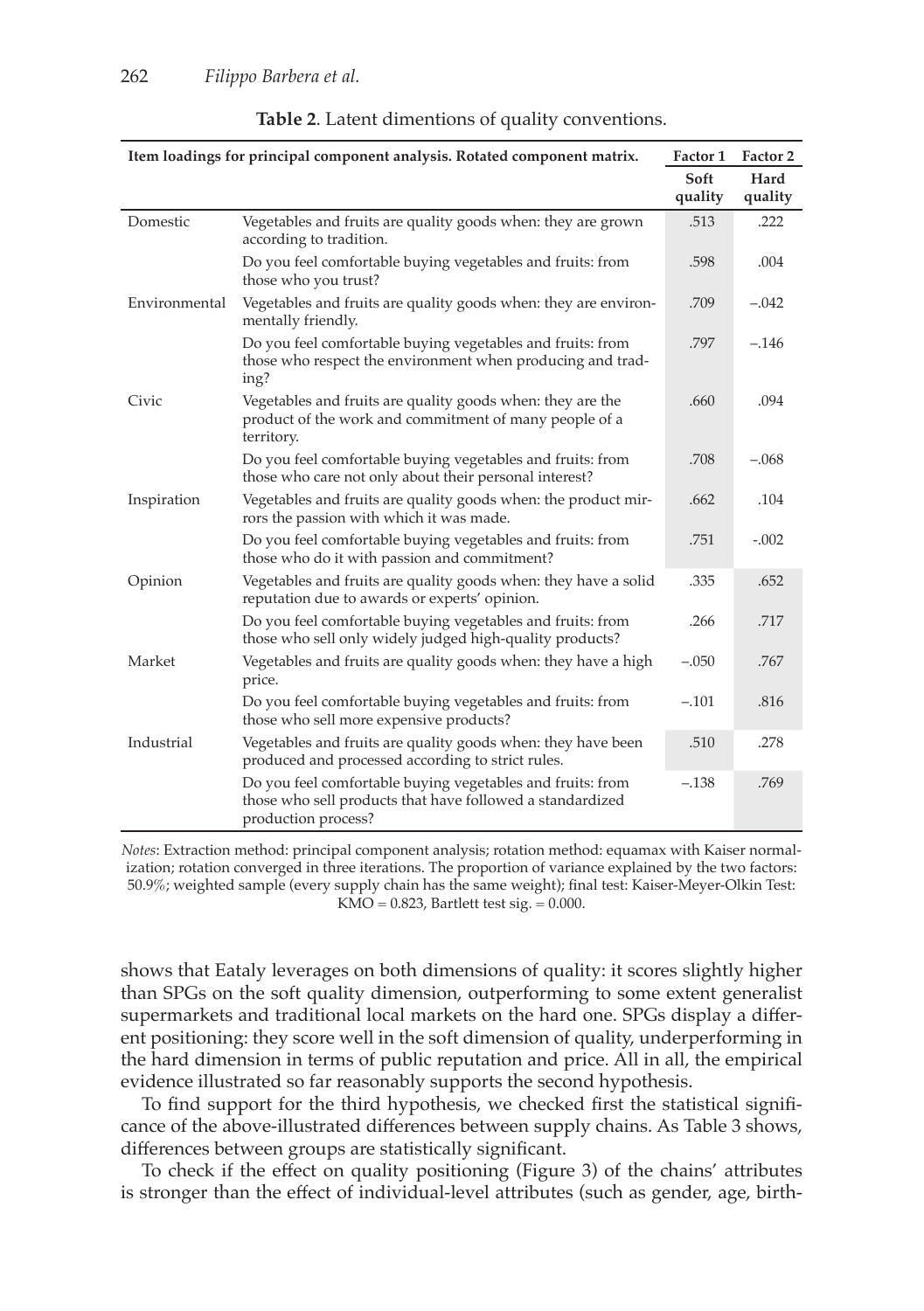| Item loadings for principal component analysis. Rotated component matrix. | Factor 1                                                                                                                                       | Factor 2        |                 |
|---------------------------------------------------------------------------|------------------------------------------------------------------------------------------------------------------------------------------------|-----------------|-----------------|
|                                                                           |                                                                                                                                                | Soft<br>quality | Hard<br>quality |
| Domestic                                                                  | Vegetables and fruits are quality goods when: they are grown<br>according to tradition.                                                        | .513            | .222            |
|                                                                           | Do you feel comfortable buying vegetables and fruits: from<br>those who you trust?                                                             | .598            | .004            |
| Environmental                                                             | Vegetables and fruits are quality goods when: they are environ-<br>mentally friendly.                                                          | .709            | $-.042$         |
|                                                                           | Do you feel comfortable buying vegetables and fruits: from<br>those who respect the environment when producing and trad-<br>ing?               | .797            | $-.146$         |
| Civic                                                                     | Vegetables and fruits are quality goods when: they are the<br>product of the work and commitment of many people of a<br>territory.             | .660            | .094            |
|                                                                           | Do you feel comfortable buying vegetables and fruits: from<br>those who care not only about their personal interest?                           | .708            | $-.068$         |
| Inspiration                                                               | Vegetables and fruits are quality goods when: the product mir-<br>rors the passion with which it was made.                                     | .662            | .104            |
|                                                                           | Do you feel comfortable buying vegetables and fruits: from<br>those who do it with passion and commitment?                                     | .751            | $-.002$         |
| Opinion                                                                   | Vegetables and fruits are quality goods when: they have a solid<br>reputation due to awards or experts' opinion.                               | .335            | .652            |
|                                                                           | Do you feel comfortable buying vegetables and fruits: from<br>those who sell only widely judged high-quality products?                         | .266            | .717            |
| Market                                                                    | Vegetables and fruits are quality goods when: they have a high<br>price.                                                                       | $-.050$         | .767            |
|                                                                           | Do you feel comfortable buying vegetables and fruits: from<br>those who sell more expensive products?                                          | $-.101$         | .816            |
| Industrial                                                                | Vegetables and fruits are quality goods when: they have been<br>produced and processed according to strict rules.                              | .510            | .278            |
|                                                                           | Do you feel comfortable buying vegetables and fruits: from<br>those who sell products that have followed a standardized<br>production process? | $-.138$         | .769            |

|  |  | <b>Table 2.</b> Latent dimentions of quality conventions. |
|--|--|-----------------------------------------------------------|
|  |  |                                                           |

*Notes*: Extraction method: principal component analysis; rotation method: equamax with Kaiser normalization; rotation converged in three iterations. The proportion of variance explained by the two factors: 50.9%; weighted sample (every supply chain has the same weight); final test: Kaiser-Meyer-Olkin Test: KMO =  $0.823$ , Bartlett test sig. =  $0.000$ .

shows that Eataly leverages on both dimensions of quality: it scores slightly higher than SPGs on the soft quality dimension, outperforming to some extent generalist supermarkets and traditional local markets on the hard one. SPGs display a different positioning: they score well in the soft dimension of quality, underperforming in the hard dimension in terms of public reputation and price. All in all, the empirical evidence illustrated so far reasonably supports the second hypothesis.

To find support for the third hypothesis, we checked first the statistical significance of the above-illustrated differences between supply chains. As Table 3 shows, differences between groups are statistically significant.

To check if the effect on quality positioning (Figure 3) of the chains' attributes is stronger than the effect of individual-level attributes (such as gender, age, birth-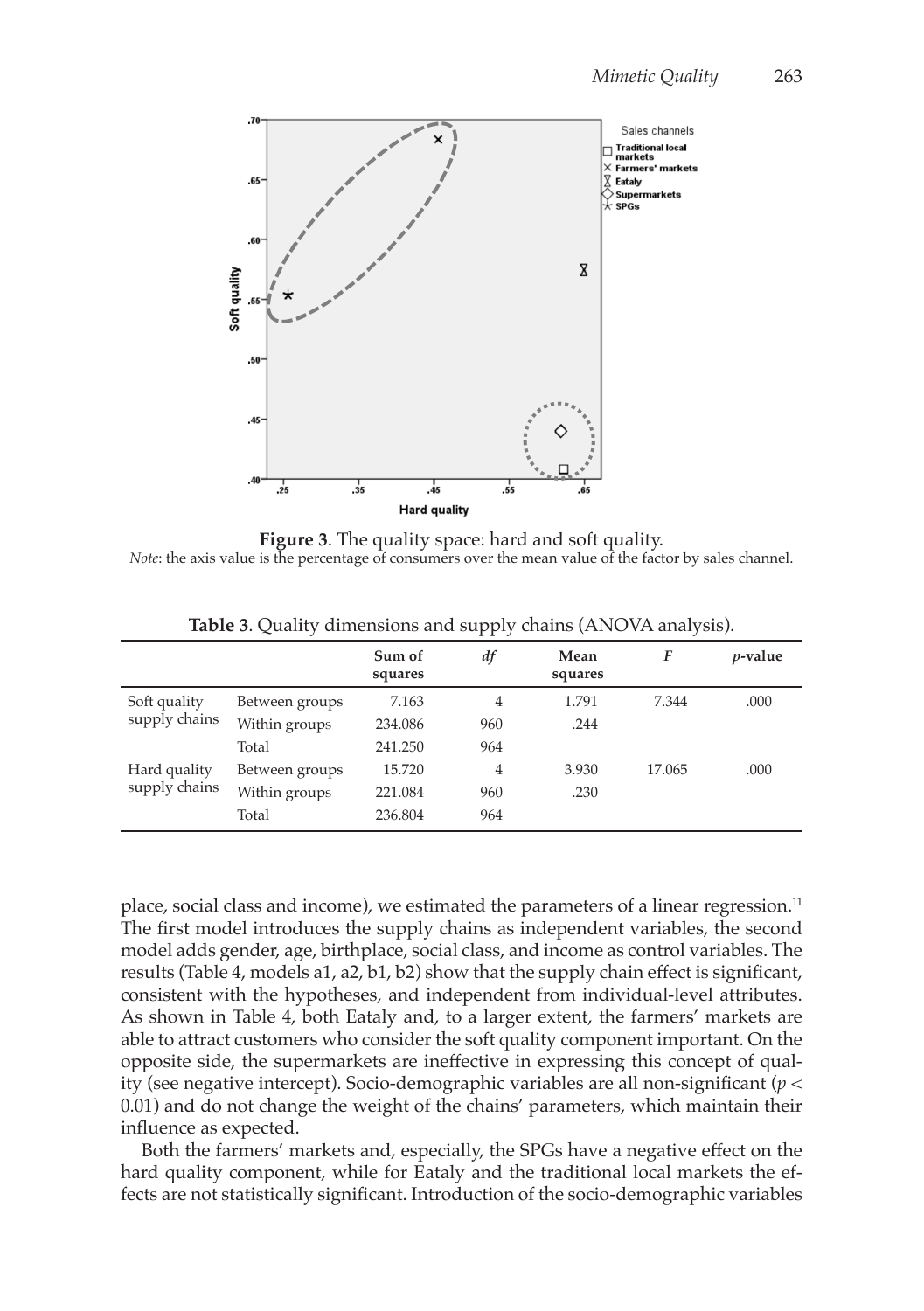

**Figure 3**. The quality space: hard and soft quality. *Note*: the axis value is the percentage of consumers over the mean value of the factor by sales channel.

|                               |                | Sum of<br>squares | df  | Mean<br>squares | F      | $p$ -value |
|-------------------------------|----------------|-------------------|-----|-----------------|--------|------------|
| Soft quality<br>supply chains | Between groups | 7.163             | 4   | 1.791           | 7.344  | .000       |
|                               | Within groups  | 234.086           | 960 | .244            |        |            |
|                               | Total          | 241.250           | 964 |                 |        |            |
| Hard quality<br>supply chains | Between groups | 15.720            | 4   | 3.930           | 17.065 | .000       |
|                               | Within groups  | 221.084           | 960 | .230            |        |            |
|                               | Total          | 236.804           | 964 |                 |        |            |

**Table 3**. Quality dimensions and supply chains (ANOVA analysis).

place, social class and income), we estimated the parameters of a linear regression.<sup>11</sup> The first model introduces the supply chains as independent variables, the second model adds gender, age, birthplace, social class, and income as control variables. The results (Table 4, models a1, a2, b1, b2) show that the supply chain effect is significant, consistent with the hypotheses, and independent from individual-level attributes. As shown in Table 4, both Eataly and, to a larger extent, the farmers' markets are able to attract customers who consider the soft quality component important. On the opposite side, the supermarkets are ineffective in expressing this concept of quality (see negative intercept). Socio-demographic variables are all non-significant (*p* < 0.01) and do not change the weight of the chains' parameters, which maintain their influence as expected.

Both the farmers' markets and, especially, the SPGs have a negative effect on the hard quality component, while for Eataly and the traditional local markets the effects are not statistically significant. Introduction of the socio-demographic variables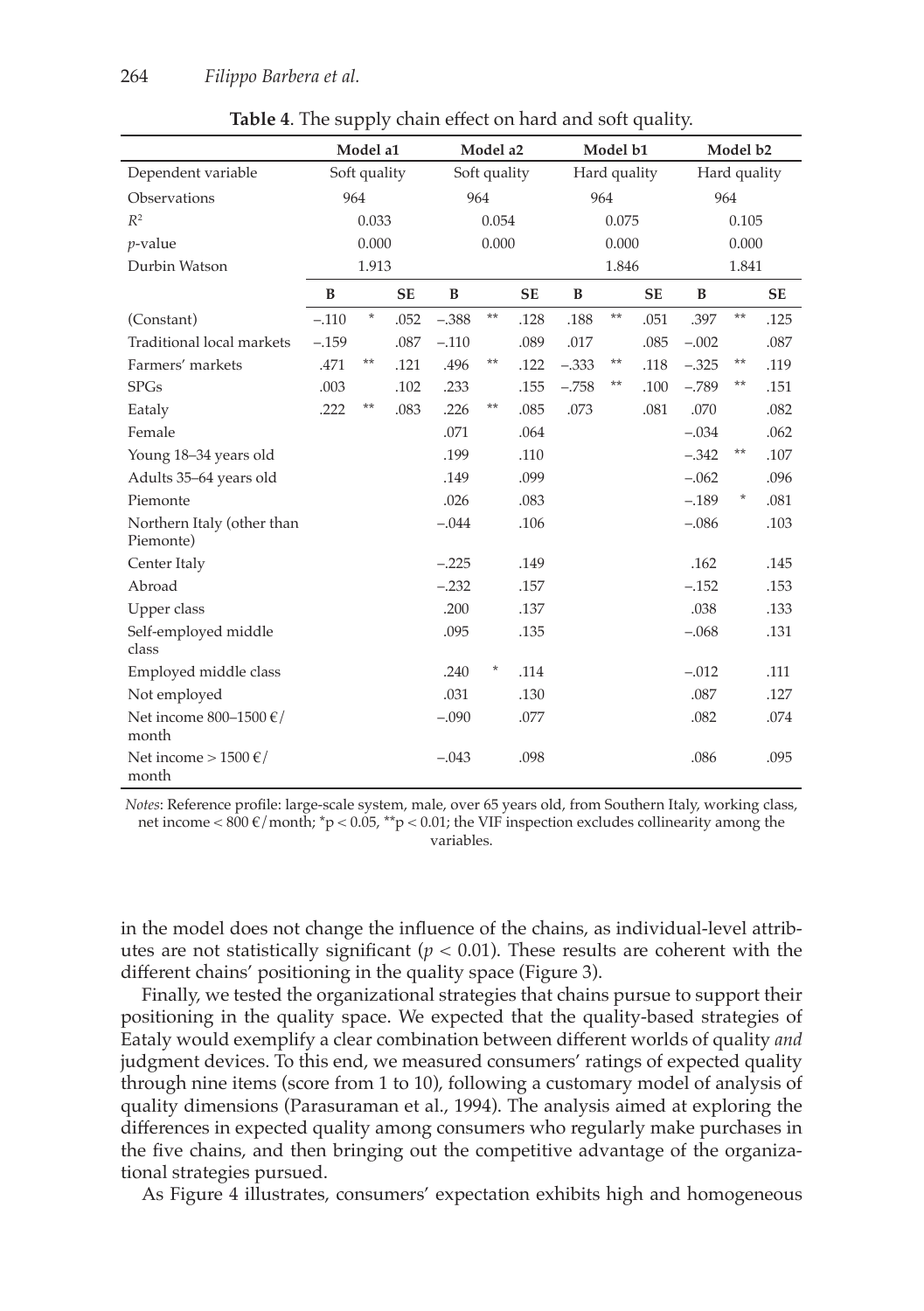|                                                | Model a1     |          |           | Model a2     |         | Model b1     |         |       | Model b2     |         |          |           |
|------------------------------------------------|--------------|----------|-----------|--------------|---------|--------------|---------|-------|--------------|---------|----------|-----------|
| Dependent variable                             | Soft quality |          |           | Soft quality |         | Hard quality |         |       | Hard quality |         |          |           |
| Observations                                   |              | 964      |           |              | 964     |              | 964     |       |              |         | 964      |           |
| $R^2$                                          |              | 0.033    |           |              | 0.054   |              |         | 0.075 |              |         | 0.105    |           |
| $\nu$ -value                                   |              | 0.000    |           |              | 0.000   |              |         | 0.000 |              |         | 0.000    |           |
| Durbin Watson                                  |              | 1.913    |           |              |         |              |         | 1.846 |              |         | 1.841    |           |
|                                                | B            |          | <b>SE</b> | B            |         | <b>SE</b>    | B       |       | <b>SE</b>    | B       |          | <b>SE</b> |
| (Constant)                                     | $-.110$      | $^\star$ | .052      | $-.388$      | $***$   | .128         | .188    | $***$ | .051         | .397    | $**$     | .125      |
| Traditional local markets                      | $-.159$      |          | .087      | $-.110$      |         | .089         | .017    |       | .085         | $-.002$ |          | .087      |
| Farmers' markets                               | .471         | $***$    | .121      | .496         | $***$   | .122         | $-.333$ | $***$ | .118         | $-.325$ | **       | .119      |
| <b>SPGs</b>                                    | .003         |          | .102      | .233         |         | .155         | $-.758$ | $***$ | .100         | $-.789$ | $***$    | .151      |
| Eataly                                         | .222         | $***$    | .083      | .226         | $***$   | .085         | .073    |       | .081         | .070    |          | .082      |
| Female                                         |              |          |           | .071         |         | .064         |         |       |              | $-.034$ |          | .062      |
| Young 18-34 years old                          |              |          |           | .199         |         | .110         |         |       |              | $-.342$ | $**$     | .107      |
| Adults 35-64 years old                         |              |          |           | .149         |         | .099         |         |       |              | $-.062$ |          | .096      |
| Piemonte                                       |              |          |           | .026         |         | .083         |         |       |              | $-.189$ | $^\star$ | .081      |
| Northern Italy (other than<br>Piemonte)        |              |          |           | $-.044$      |         | .106         |         |       |              | $-.086$ |          | .103      |
| Center Italy                                   |              |          |           | $-.225$      |         | .149         |         |       |              | .162    |          | .145      |
| Abroad                                         |              |          |           | $-.232$      |         | .157         |         |       |              | $-.152$ |          | .153      |
| Upper class                                    |              |          |           | .200         |         | .137         |         |       |              | .038    |          | .133      |
| Self-employed middle<br>class                  |              |          |           | .095         |         | .135         |         |       |              | $-.068$ |          | .131      |
| Employed middle class                          |              |          |           | .240         | $\star$ | .114         |         |       |              | $-.012$ |          | .111      |
| Not employed                                   |              |          |           | .031         |         | .130         |         |       |              | .087    |          | .127      |
| Net income 800-1500 $\epsilon$ /<br>month      |              |          |           | $-.090$      |         | .077         |         |       |              | .082    |          | .074      |
| Net income $> 1500 \text{ }\epsilon/$<br>month |              |          |           | $-.043$      |         | .098         |         |       |              | .086    |          | .095      |

**Table 4**. The supply chain effect on hard and soft quality.

*Notes*: Reference profile: large-scale system, male, over 65 years old, from Southern Italy, working class, net income <  $800 \text{ }\epsilon$ /month; \*p <  $0.05$ , \*\*p <  $0.01$ ; the VIF inspection excludes collinearity among the variables.

in the model does not change the influence of the chains, as individual-level attributes are not statistically significant  $(p < 0.01)$ . These results are coherent with the different chains' positioning in the quality space (Figure 3).

Finally, we tested the organizational strategies that chains pursue to support their positioning in the quality space. We expected that the quality-based strategies of Eataly would exemplify a clear combination between different worlds of quality *and* judgment devices. To this end, we measured consumers' ratings of expected quality through nine items (score from 1 to 10), following a customary model of analysis of quality dimensions (Parasuraman et al., 1994). The analysis aimed at exploring the differences in expected quality among consumers who regularly make purchases in the five chains, and then bringing out the competitive advantage of the organizational strategies pursued.

As Figure 4 illustrates, consumers' expectation exhibits high and homogeneous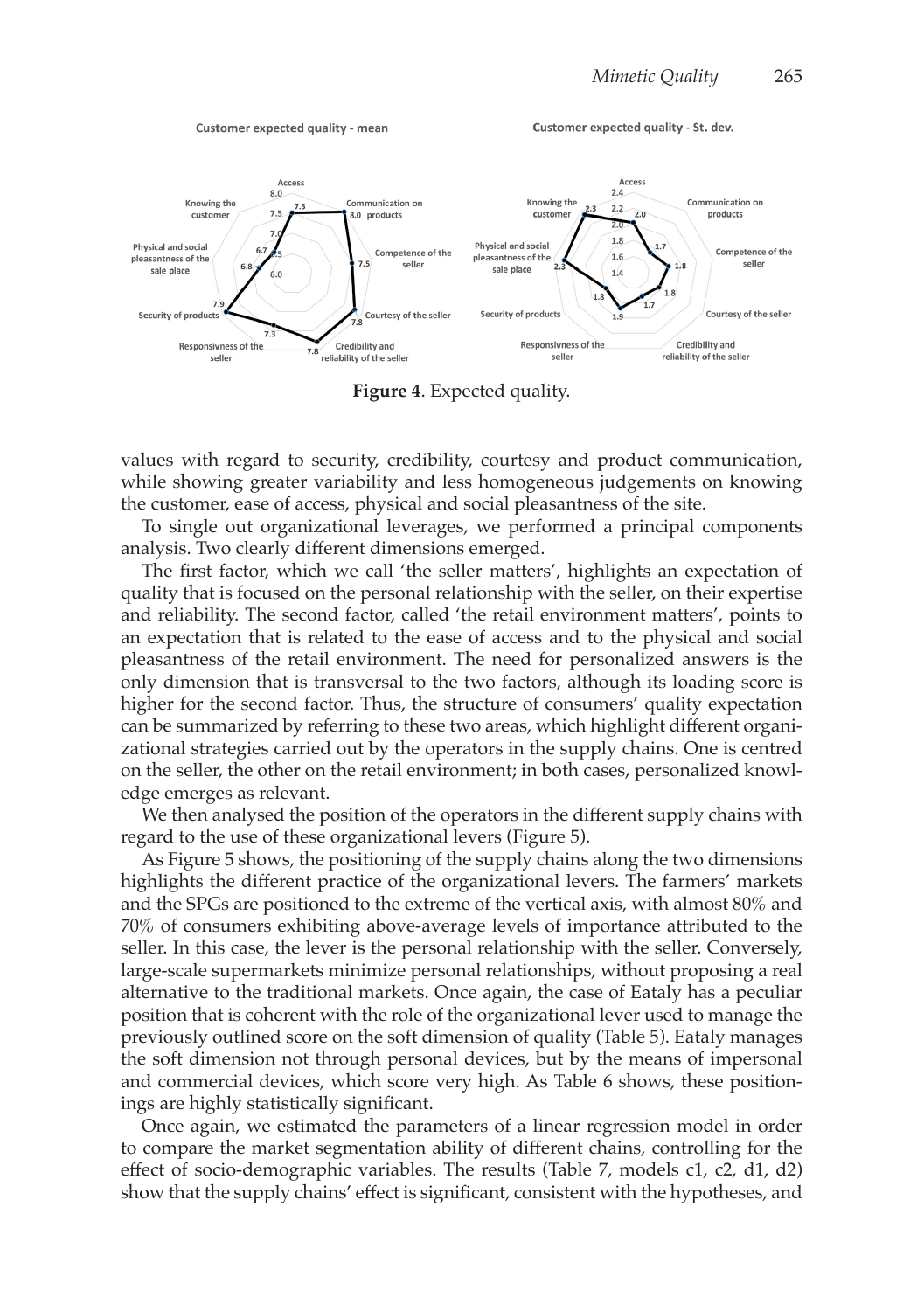

**Figure 4**. Expected quality.

values with regard to security, credibility, courtesy and product communication, while showing greater variability and less homogeneous judgements on knowing the customer, ease of access, physical and social pleasantness of the site.

To single out organizational leverages, we performed a principal components analysis. Two clearly different dimensions emerged.

The first factor, which we call 'the seller matters', highlights an expectation of quality that is focused on the personal relationship with the seller, on their expertise and reliability. The second factor, called 'the retail environment matters', points to an expectation that is related to the ease of access and to the physical and social pleasantness of the retail environment. The need for personalized answers is the only dimension that is transversal to the two factors, although its loading score is higher for the second factor. Thus, the structure of consumers' quality expectation can be summarized by referring to these two areas, which highlight different organizational strategies carried out by the operators in the supply chains. One is centred on the seller, the other on the retail environment; in both cases, personalized knowledge emerges as relevant.

We then analysed the position of the operators in the different supply chains with regard to the use of these organizational levers (Figure 5).

As Figure 5 shows, the positioning of the supply chains along the two dimensions highlights the different practice of the organizational levers. The farmers' markets and the SPGs are positioned to the extreme of the vertical axis, with almost 80% and 70% of consumers exhibiting above-average levels of importance attributed to the seller. In this case, the lever is the personal relationship with the seller. Conversely, large-scale supermarkets minimize personal relationships, without proposing a real alternative to the traditional markets. Once again, the case of Eataly has a peculiar position that is coherent with the role of the organizational lever used to manage the previously outlined score on the soft dimension of quality (Table 5). Eataly manages the soft dimension not through personal devices, but by the means of impersonal and commercial devices, which score very high. As Table 6 shows, these positionings are highly statistically significant.

Once again, we estimated the parameters of a linear regression model in order to compare the market segmentation ability of different chains, controlling for the effect of socio-demographic variables. The results (Table 7, models c1, c2, d1, d2) show that the supply chains' effect is significant, consistent with the hypotheses, and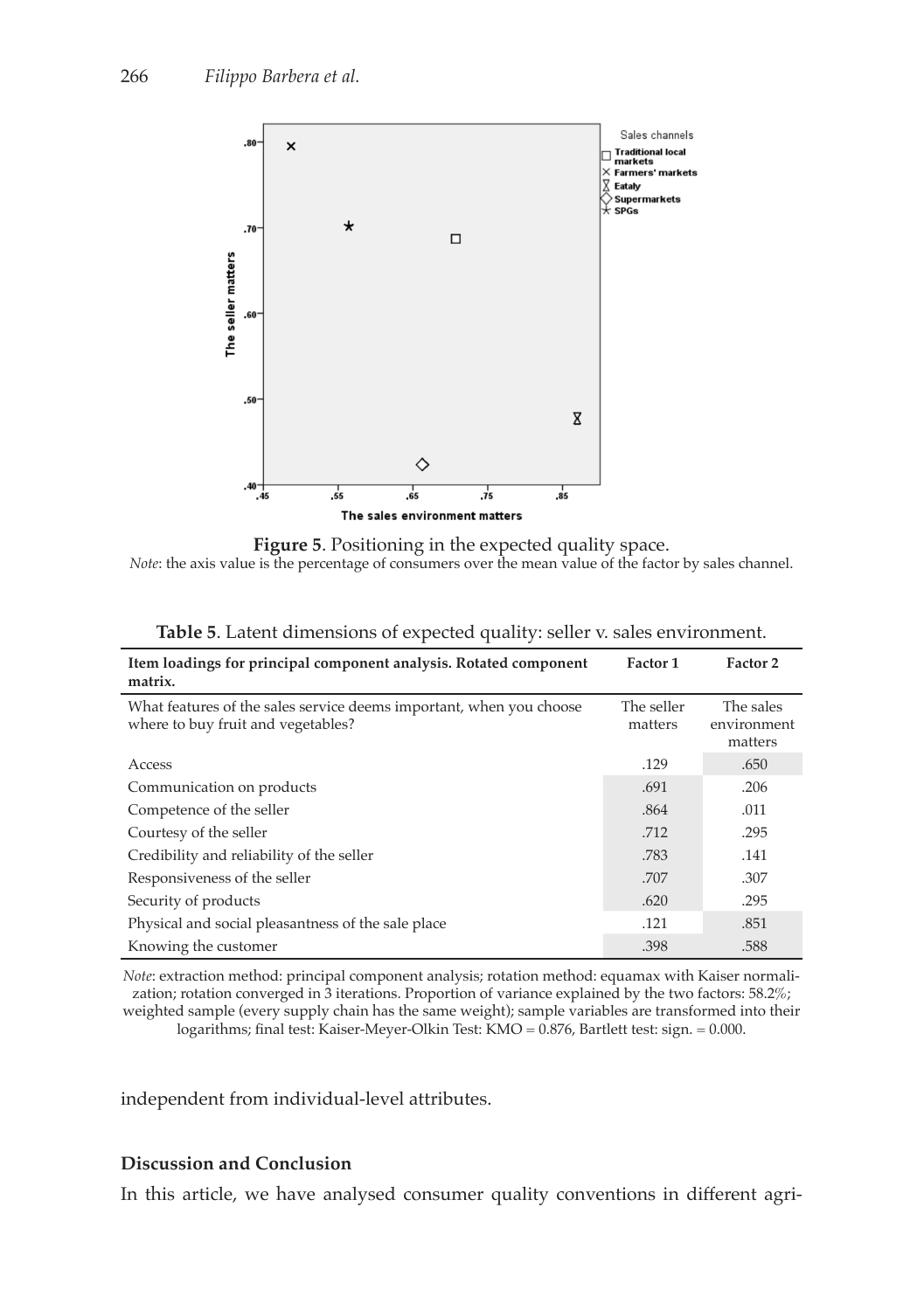

**Figure 5**. Positioning in the expected quality space. *Note*: the axis value is the percentage of consumers over the mean value of the factor by sales channel.

| Item loadings for principal component analysis. Rotated component<br>matrix.                              | Factor 1              | Factor 2                            |
|-----------------------------------------------------------------------------------------------------------|-----------------------|-------------------------------------|
| What features of the sales service deems important, when you choose<br>where to buy fruit and vegetables? | The seller<br>matters | The sales<br>environment<br>matters |
| Access                                                                                                    | .129                  | .650                                |
| Communication on products                                                                                 | .691                  | .206                                |
| Competence of the seller                                                                                  | .864                  | .011                                |
| Courtesy of the seller                                                                                    | .712                  | .295                                |
| Credibility and reliability of the seller                                                                 | .783                  | .141                                |
| Responsiveness of the seller                                                                              | .707                  | .307                                |
| Security of products                                                                                      | .620                  | .295                                |
| Physical and social pleasantness of the sale place                                                        | .121                  | .851                                |
| Knowing the customer                                                                                      | .398                  | .588                                |

|  | <b>Table 5.</b> Latent dimensions of expected quality: seller v. sales environment. |
|--|-------------------------------------------------------------------------------------|
|--|-------------------------------------------------------------------------------------|

*Note*: extraction method: principal component analysis; rotation method: equamax with Kaiser normalization; rotation converged in 3 iterations. Proportion of variance explained by the two factors: 58.2%; weighted sample (every supply chain has the same weight); sample variables are transformed into their logarithms; final test: Kaiser-Meyer-Olkin Test: KMO = 0.876, Bartlett test: sign. = 0.000.

independent from individual-level attributes.

# **Discussion and Conclusion**

In this article, we have analysed consumer quality conventions in different agri-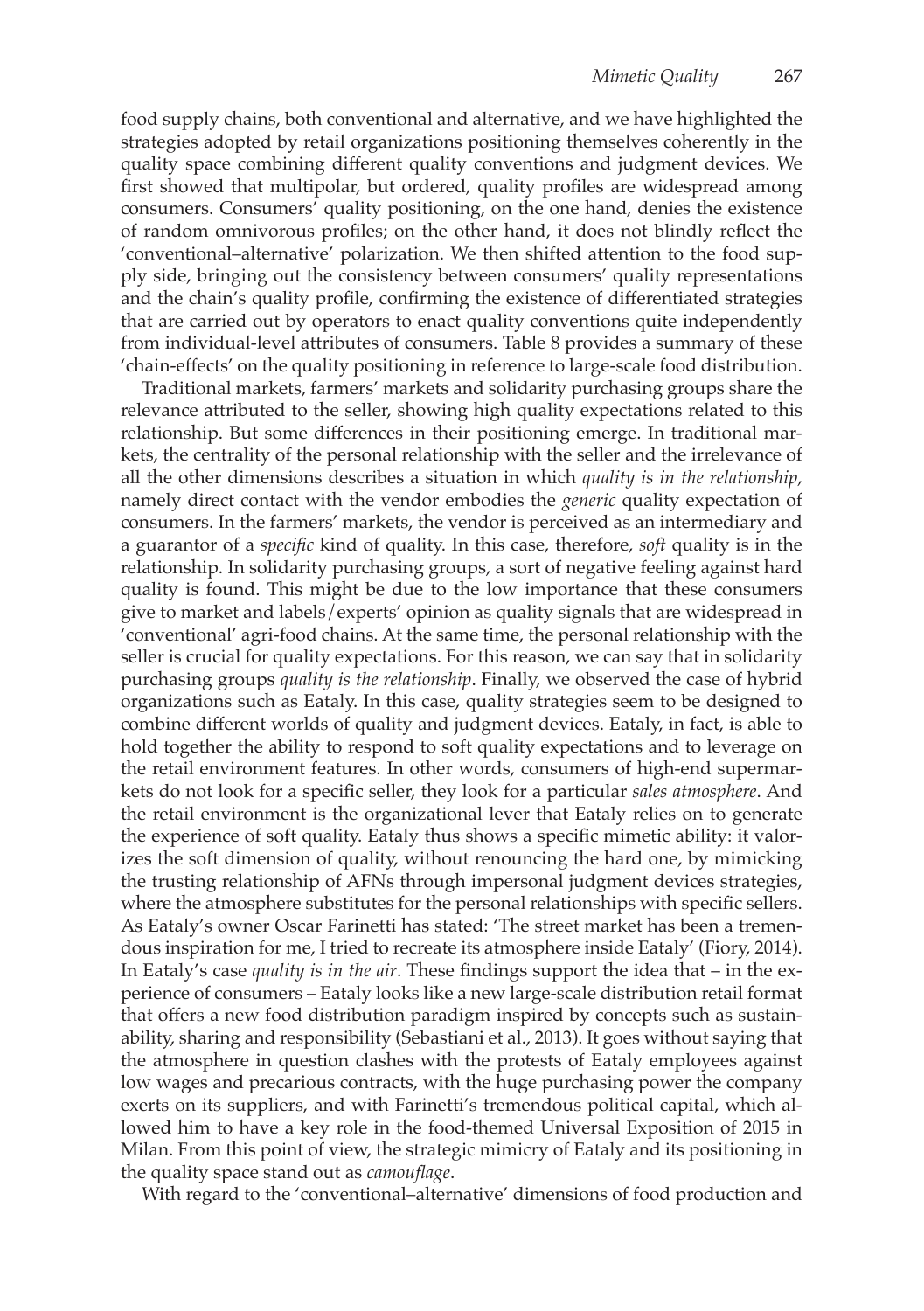food supply chains, both conventional and alternative, and we have highlighted the strategies adopted by retail organizations positioning themselves coherently in the quality space combining different quality conventions and judgment devices. We first showed that multipolar, but ordered, quality profiles are widespread among consumers. Consumers' quality positioning, on the one hand, denies the existence of random omnivorous profiles; on the other hand, it does not blindly reflect the 'conventional–alternative' polarization. We then shifted attention to the food supply side, bringing out the consistency between consumers' quality representations and the chain's quality profile, confirming the existence of differentiated strategies that are carried out by operators to enact quality conventions quite independently from individual-level attributes of consumers. Table 8 provides a summary of these 'chain-effects' on the quality positioning in reference to large-scale food distribution.

Traditional markets, farmers' markets and solidarity purchasing groups share the relevance attributed to the seller, showing high quality expectations related to this relationship. But some differences in their positioning emerge. In traditional markets, the centrality of the personal relationship with the seller and the irrelevance of all the other dimensions describes a situation in which *quality is in the relationship*, namely direct contact with the vendor embodies the *generic* quality expectation of consumers. In the farmers' markets, the vendor is perceived as an intermediary and a guarantor of a *specific* kind of quality. In this case, therefore, *soft* quality is in the relationship. In solidarity purchasing groups, a sort of negative feeling against hard quality is found. This might be due to the low importance that these consumers give to market and labels/experts' opinion as quality signals that are widespread in 'conventional' agri-food chains. At the same time, the personal relationship with the seller is crucial for quality expectations. For this reason, we can say that in solidarity purchasing groups *quality is the relationship*. Finally, we observed the case of hybrid organizations such as Eataly. In this case, quality strategies seem to be designed to combine different worlds of quality and judgment devices. Eataly, in fact, is able to hold together the ability to respond to soft quality expectations and to leverage on the retail environment features. In other words, consumers of high-end supermarkets do not look for a specific seller, they look for a particular *sales atmosphere*. And the retail environment is the organizational lever that Eataly relies on to generate the experience of soft quality. Eataly thus shows a specific mimetic ability: it valorizes the soft dimension of quality, without renouncing the hard one, by mimicking the trusting relationship of AFNs through impersonal judgment devices strategies, where the atmosphere substitutes for the personal relationships with specific sellers. As Eataly's owner Oscar Farinetti has stated: 'The street market has been a tremendous inspiration for me, I tried to recreate its atmosphere inside Eataly' (Fiory, 2014). In Eataly's case *quality is in the air*. These findings support the idea that – in the experience of consumers – Eataly looks like a new large-scale distribution retail format that offers a new food distribution paradigm inspired by concepts such as sustainability, sharing and responsibility (Sebastiani et al., 2013). It goes without saying that the atmosphere in question clashes with the protests of Eataly employees against low wages and precarious contracts, with the huge purchasing power the company exerts on its suppliers, and with Farinetti's tremendous political capital, which allowed him to have a key role in the food-themed Universal Exposition of 2015 in Milan. From this point of view, the strategic mimicry of Eataly and its positioning in the quality space stand out as *camouflage*.

With regard to the 'conventional–alternative' dimensions of food production and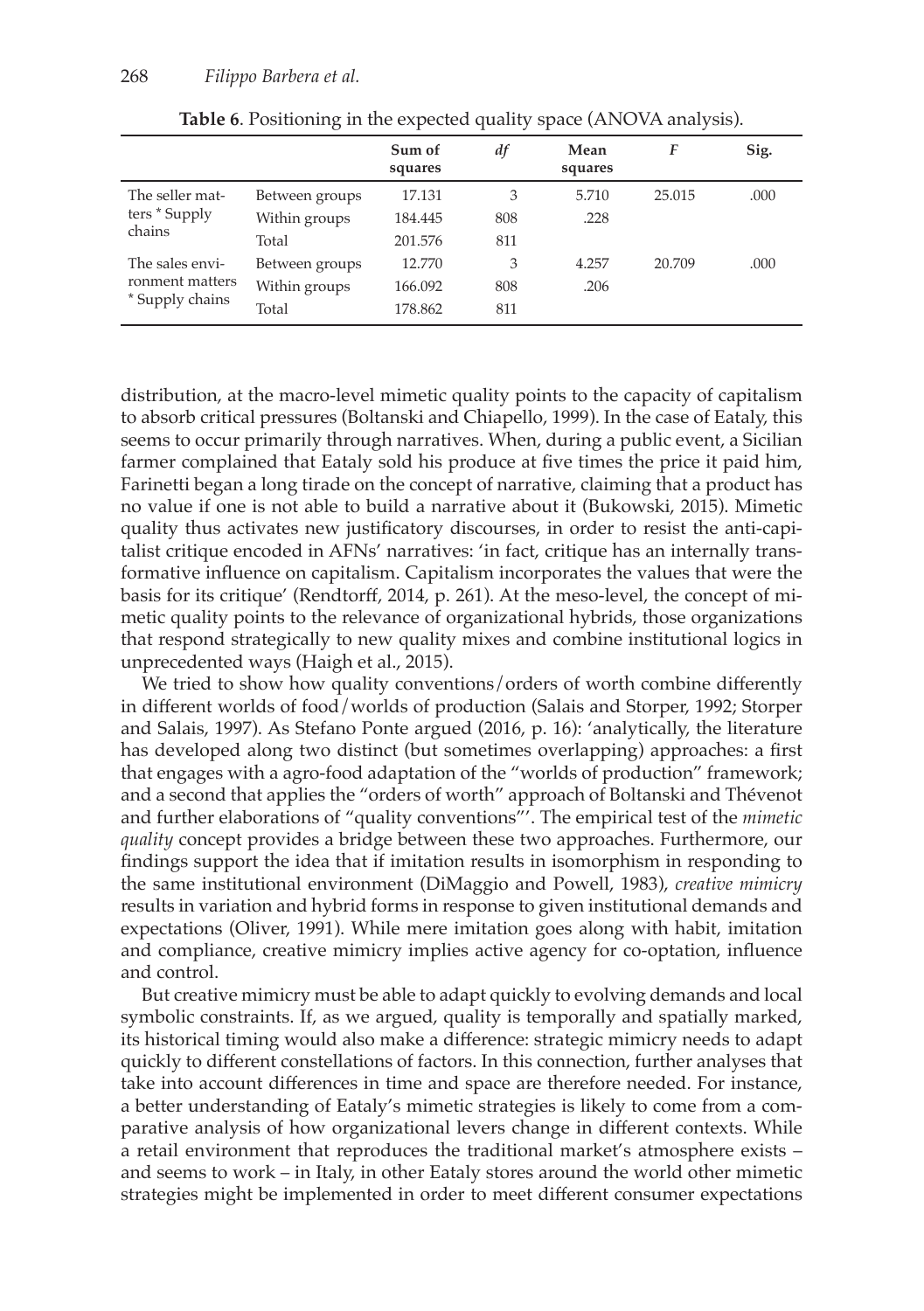|                                                       |                | Sum of<br>squares | df  | Mean<br>squares | F      | Sig. |
|-------------------------------------------------------|----------------|-------------------|-----|-----------------|--------|------|
| The seller mat-                                       | Between groups | 17.131            | 3   | 5.710           | 25.015 | .000 |
| ters * Supply                                         | Within groups  | 184.445           | 808 | .228            |        |      |
| chains                                                | Total          | 201.576           | 811 |                 |        |      |
| The sales envi-<br>ronment matters<br>* Supply chains | Between groups | 12.770            | 3   | 4.257           | 20.709 | .000 |
|                                                       | Within groups  | 166.092           | 808 | .206            |        |      |
|                                                       | Total          | 178.862           | 811 |                 |        |      |

**Table 6**. Positioning in the expected quality space (ANOVA analysis).

distribution, at the macro-level mimetic quality points to the capacity of capitalism to absorb critical pressures (Boltanski and Chiapello, 1999). In the case of Eataly, this seems to occur primarily through narratives. When, during a public event, a Sicilian farmer complained that Eataly sold his produce at five times the price it paid him, Farinetti began a long tirade on the concept of narrative, claiming that a product has no value if one is not able to build a narrative about it (Bukowski, 2015). Mimetic quality thus activates new justificatory discourses, in order to resist the anti-capitalist critique encoded in AFNs' narratives: 'in fact, critique has an internally transformative influence on capitalism. Capitalism incorporates the values that were the basis for its critique' (Rendtorff, 2014, p. 261). At the meso-level, the concept of mimetic quality points to the relevance of organizational hybrids, those organizations that respond strategically to new quality mixes and combine institutional logics in unprecedented ways (Haigh et al., 2015).

We tried to show how quality conventions/orders of worth combine differently in different worlds of food/worlds of production (Salais and Storper, 1992; Storper and Salais, 1997). As Stefano Ponte argued (2016, p. 16): 'analytically, the literature has developed along two distinct (but sometimes overlapping) approaches: a first that engages with a agro-food adaptation of the "worlds of production" framework; and a second that applies the "orders of worth" approach of Boltanski and Thévenot and further elaborations of "quality conventions"'. The empirical test of the *mimetic quality* concept provides a bridge between these two approaches. Furthermore, our findings support the idea that if imitation results in isomorphism in responding to the same institutional environment (DiMaggio and Powell, 1983), *creative mimicry* results in variation and hybrid forms in response to given institutional demands and expectations (Oliver, 1991). While mere imitation goes along with habit, imitation and compliance, creative mimicry implies active agency for co-optation, influence and control.

But creative mimicry must be able to adapt quickly to evolving demands and local symbolic constraints. If, as we argued, quality is temporally and spatially marked, its historical timing would also make a difference: strategic mimicry needs to adapt quickly to different constellations of factors. In this connection, further analyses that take into account differences in time and space are therefore needed. For instance, a better understanding of Eataly's mimetic strategies is likely to come from a comparative analysis of how organizational levers change in different contexts. While a retail environment that reproduces the traditional market's atmosphere exists – and seems to work – in Italy, in other Eataly stores around the world other mimetic strategies might be implemented in order to meet different consumer expectations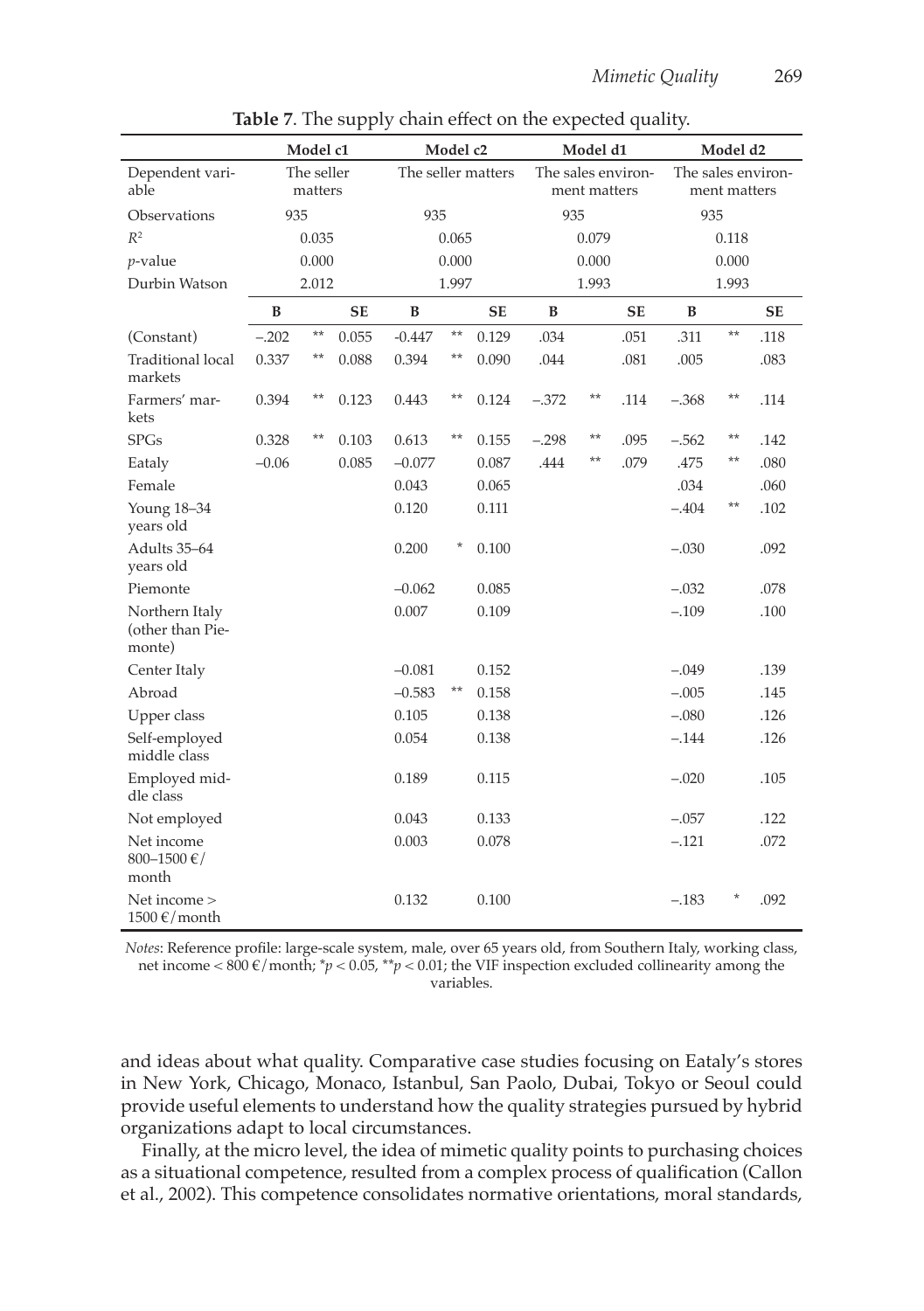|                                                | Model c1 |                       | Model c2  |                    | Model d1 |           |         | Model d2                           |           |         |                                    |           |
|------------------------------------------------|----------|-----------------------|-----------|--------------------|----------|-----------|---------|------------------------------------|-----------|---------|------------------------------------|-----------|
| Dependent vari-<br>able                        |          | The seller<br>matters |           | The seller matters |          |           |         | The sales environ-<br>ment matters |           |         | The sales environ-<br>ment matters |           |
| Observations                                   | 935      |                       |           | 935                |          |           | 935     |                                    |           | 935     |                                    |           |
| $R^2$                                          |          | 0.035                 |           |                    | 0.065    |           |         | 0.079                              |           |         | 0.118                              |           |
| $p$ -value                                     |          | 0.000                 |           |                    | 0.000    |           |         | 0.000                              |           |         | 0.000                              |           |
| Durbin Watson                                  |          | 2.012                 |           |                    | 1.997    |           |         | 1.993                              |           |         | 1.993                              |           |
|                                                | B        |                       | <b>SE</b> | B                  |          | <b>SE</b> | B       |                                    | <b>SE</b> | B       |                                    | <b>SE</b> |
| (Constant)                                     | $-.202$  | $**$                  | 0.055     | $-0.447$           | $**$     | 0.129     | .034    |                                    | .051      | .311    | $**$                               | .118      |
| <b>Traditional local</b><br>markets            | 0.337    | **                    | 0.088     | 0.394              | $***$    | 0.090     | .044    |                                    | .081      | .005    |                                    | .083      |
| Farmers' mar-<br>kets                          | 0.394    | $***$                 | 0.123     | 0.443              | $**$     | 0.124     | $-.372$ | $***$                              | .114      | $-.368$ | $***$                              | .114      |
| <b>SPGs</b>                                    | 0.328    | $***$                 | 0.103     | 0.613              | $***$    | 0.155     | $-.298$ | $***$                              | .095      | $-.562$ | $***$                              | .142      |
| Eataly                                         | $-0.06$  |                       | 0.085     | $-0.077$           |          | 0.087     | .444    | $^{\star\star}$                    | .079      | .475    | $***$                              | .080      |
| Female                                         |          |                       |           | 0.043              |          | 0.065     |         |                                    |           | .034    |                                    | .060      |
| Young 18-34<br>years old                       |          |                       |           | 0.120              |          | 0.111     |         |                                    |           | $-.404$ | $***$                              | .102      |
| Adults 35-64<br>years old                      |          |                       |           | 0.200              | $\star$  | 0.100     |         |                                    |           | $-.030$ |                                    | .092      |
| Piemonte                                       |          |                       |           | $-0.062$           |          | 0.085     |         |                                    |           | $-.032$ |                                    | .078      |
| Northern Italy<br>(other than Pie-<br>monte)   |          |                       |           | 0.007              |          | 0.109     |         |                                    |           | $-.109$ |                                    | .100      |
| Center Italy                                   |          |                       |           | $-0.081$           |          | 0.152     |         |                                    |           | $-.049$ |                                    | .139      |
| Abroad                                         |          |                       |           | $-0.583$           | $***$    | 0.158     |         |                                    |           | $-.005$ |                                    | .145      |
| Upper class                                    |          |                       |           | 0.105              |          | 0.138     |         |                                    |           | $-.080$ |                                    | .126      |
| Self-employed<br>middle class                  |          |                       |           | 0.054              |          | 0.138     |         |                                    |           | $-.144$ |                                    | .126      |
| Employed mid-<br>dle class                     |          |                       |           | 0.189              |          | 0.115     |         |                                    |           | $-.020$ |                                    | .105      |
| Not employed                                   |          |                       |           | 0.043              |          | 0.133     |         |                                    |           | $-.057$ |                                    | .122      |
| Net income<br>800-1500 $\in$ /<br>month        |          |                       |           | 0.003              |          | 0.078     |         |                                    |           | $-.121$ |                                    | .072      |
| Net income ><br>$1500 \text{ }\epsilon$ /month |          |                       |           | 0.132              |          | 0.100     |         |                                    |           | $-.183$ |                                    | .092      |

**Table 7**. The supply chain effect on the expected quality.

*Notes*: Reference profile: large-scale system, male, over 65 years old, from Southern Italy, working class, net income < 800 €/month; \**p* < 0.05, \*\**p* < 0.01; the VIF inspection excluded collinearity among the variables.

and ideas about what quality. Comparative case studies focusing on Eataly's stores in New York, Chicago, Monaco, Istanbul, San Paolo, Dubai, Tokyo or Seoul could provide useful elements to understand how the quality strategies pursued by hybrid organizations adapt to local circumstances.

Finally, at the micro level, the idea of mimetic quality points to purchasing choices as a situational competence, resulted from a complex process of qualification (Callon et al., 2002). This competence consolidates normative orientations, moral standards,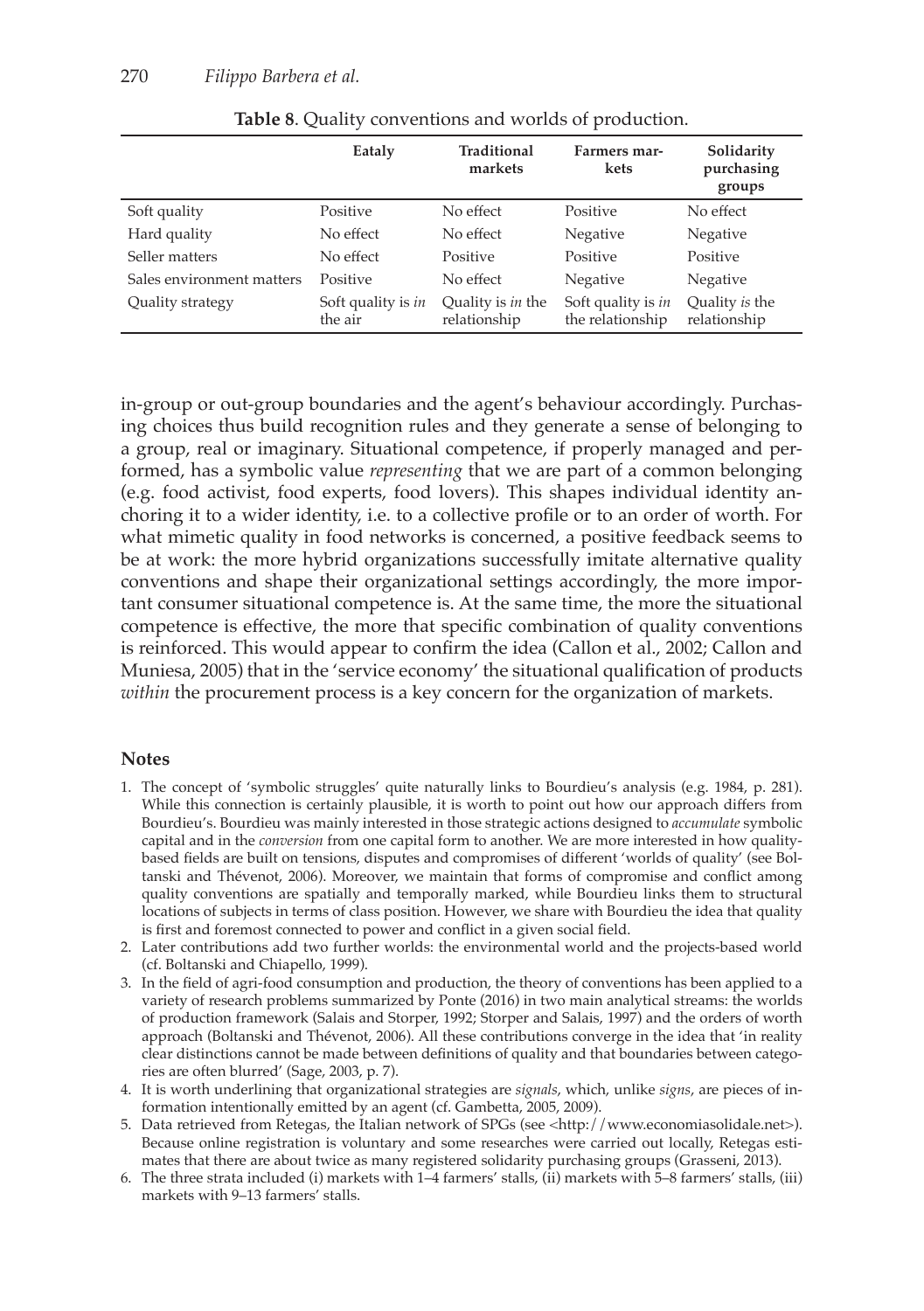|                           | Eataly                        | Traditional<br>markets                   | Farmers mar-<br>kets                   | Solidarity<br>purchasing<br>groups |
|---------------------------|-------------------------------|------------------------------------------|----------------------------------------|------------------------------------|
| Soft quality              | Positive                      | No effect                                | Positive                               | No effect                          |
| Hard quality              | No effect                     | No effect                                | Negative                               | Negative                           |
| Seller matters            | No effect                     | Positive                                 | Positive                               | Positive                           |
| Sales environment matters | Positive                      | No effect                                | Negative                               | Negative                           |
| Quality strategy          | Soft quality is in<br>the air | Quality is <i>in</i> the<br>relationship | Soft quality is in<br>the relationship | Quality is the<br>relationship     |

**Table 8**. Quality conventions and worlds of production.

in-group or out-group boundaries and the agent's behaviour accordingly. Purchasing choices thus build recognition rules and they generate a sense of belonging to a group, real or imaginary. Situational competence, if properly managed and performed, has a symbolic value *representing* that we are part of a common belonging (e.g. food activist, food experts, food lovers). This shapes individual identity anchoring it to a wider identity, i.e. to a collective profile or to an order of worth. For what mimetic quality in food networks is concerned, a positive feedback seems to be at work: the more hybrid organizations successfully imitate alternative quality conventions and shape their organizational settings accordingly, the more important consumer situational competence is. At the same time, the more the situational competence is effective, the more that specific combination of quality conventions is reinforced. This would appear to confirm the idea (Callon et al., 2002; Callon and Muniesa, 2005) that in the 'service economy' the situational qualification of products *within* the procurement process is a key concern for the organization of markets.

#### **Notes**

- 1. The concept of 'symbolic struggles' quite naturally links to Bourdieu's analysis (e.g. 1984, p. 281). While this connection is certainly plausible, it is worth to point out how our approach differs from Bourdieu's. Bourdieu was mainly interested in those strategic actions designed to *accumulate* symbolic capital and in the *conversion* from one capital form to another. We are more interested in how qualitybased fields are built on tensions, disputes and compromises of different 'worlds of quality' (see Boltanski and Thévenot, 2006). Moreover, we maintain that forms of compromise and conflict among quality conventions are spatially and temporally marked, while Bourdieu links them to structural locations of subjects in terms of class position. However, we share with Bourdieu the idea that quality is first and foremost connected to power and conflict in a given social field.
- 2. Later contributions add two further worlds: the environmental world and the projects-based world (cf. Boltanski and Chiapello, 1999).
- 3. In the field of agri-food consumption and production, the theory of conventions has been applied to a variety of research problems summarized by Ponte (2016) in two main analytical streams: the worlds of production framework (Salais and Storper, 1992; Storper and Salais, 1997) and the orders of worth approach (Boltanski and Thévenot, 2006). All these contributions converge in the idea that 'in reality clear distinctions cannot be made between definitions of quality and that boundaries between categories are often blurred' (Sage, 2003, p. 7).
- 4. It is worth underlining that organizational strategies are *signals*, which, unlike *signs*, are pieces of information intentionally emitted by an agent (cf. Gambetta, 2005, 2009).
- 5. Data retrieved from Retegas, the Italian network of SPGs (see <http://www.economiasolidale.net>). Because online registration is voluntary and some researches were carried out locally, Retegas estimates that there are about twice as many registered solidarity purchasing groups (Grasseni, 2013).
- 6. The three strata included (i) markets with 1–4 farmers' stalls, (ii) markets with 5–8 farmers' stalls, (iii) markets with 9–13 farmers' stalls.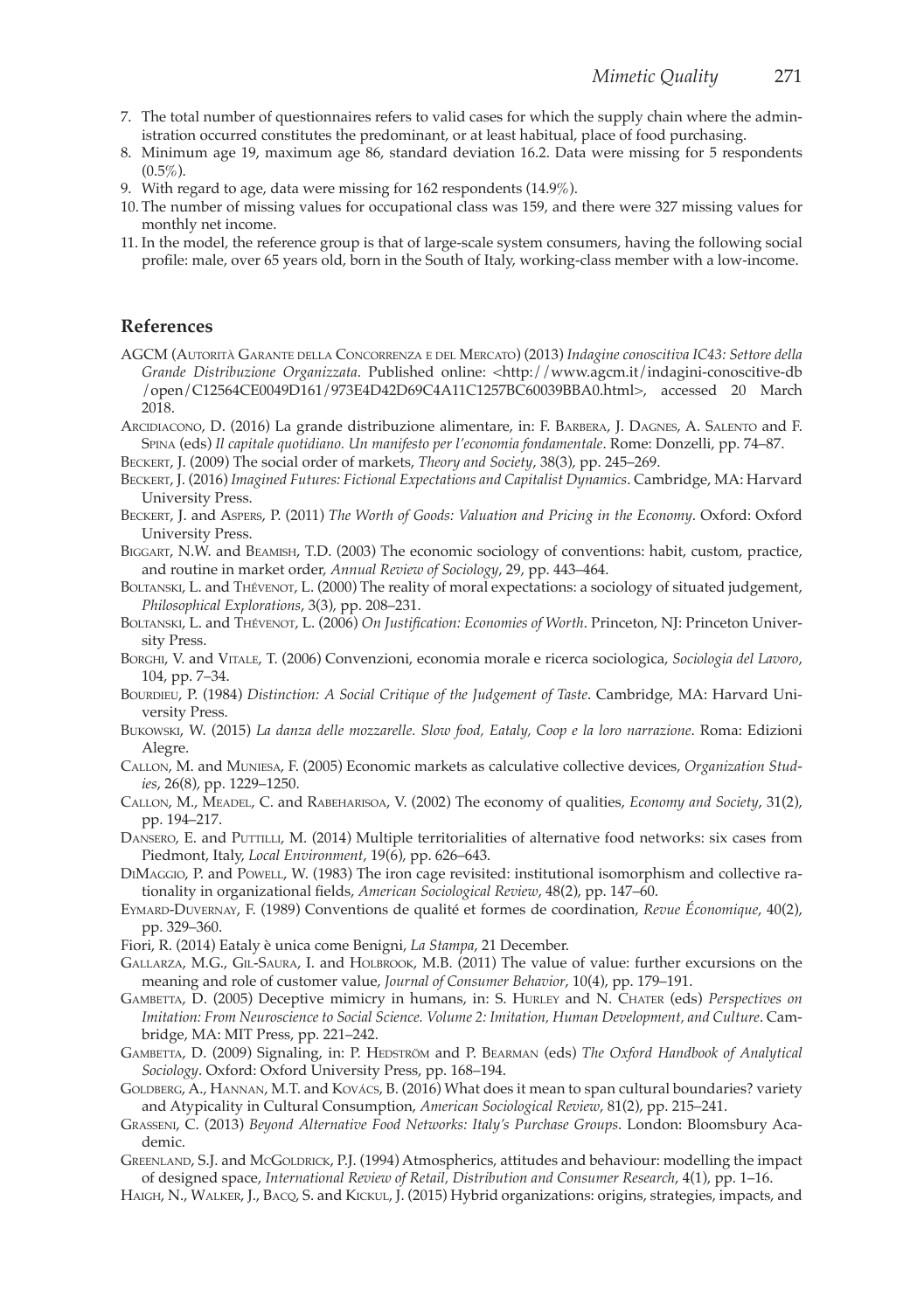- 7. The total number of questionnaires refers to valid cases for which the supply chain where the administration occurred constitutes the predominant, or at least habitual, place of food purchasing.
- 8. Minimum age 19, maximum age 86, standard deviation 16.2. Data were missing for 5 respondents  $(0.5\%)$
- 9. With regard to age, data were missing for 162 respondents (14.9%).
- 10. The number of missing values for occupational class was 159, and there were 327 missing values for monthly net income.
- 11. In the model, the reference group is that of large-scale system consumers, having the following social profile: male, over 65 years old, born in the South of Italy, working-class member with a low-income.

#### **References**

- AGCM (Autorità Garante della Concorrenza <sup>e</sup> del Mercato) (2013) *Indagine conoscitiva IC43: Settore della Grande Distribuzione Organizzata*. Published online: <http://www.agcm.it/indagini-conoscitive-db /open/C12564CE0049D161/973E4D42D69C4A11C1257BC60039BBA0.html>, accessed 20 March 2018.
- Arcidiacono, D. (2016) La grande distribuzione alimentare, in: F. Barbera, J. Dagnes, A. Salento and F. Spina (eds) *Il capitale quotidiano. Un manifesto per l'economia fondamentale*. Rome: Donzelli, pp. 74–87.
- Beckert, J. (2009) The social order of markets, *Theory and Society*, 38(3), pp. 245–269.
- Beckert, J. (2016) *Imagined Futures: Fictional Expectations and Capitalist Dynamics*. Cambridge, MA: Harvard University Press.
- Beckert, J. and Aspers, P. (2011) *The Worth of Goods: Valuation and Pricing in the Economy*. Oxford: Oxford University Press.
- Biggart, N.W. and Beamish, T.D. (2003) The economic sociology of conventions: habit, custom, practice, and routine in market order, *Annual Review of Sociology*, 29, pp. 443–464.
- BOLTANSKI, L. and THÉVENOT, L. (2000) The reality of moral expectations: a sociology of situated judgement, *Philosophical Explorations*, 3(3), pp. 208–231.
- Boltanski, L. and Thévenot, L. (2006) *On Justification: Economies of Worth*. Princeton, NJ: Princeton University Press.
- Borghi, V. and Vitale, T. (2006) Convenzioni, economia morale e ricerca sociologica, *Sociologia del Lavoro*, 104, pp. 7–34.
- Bourdieu, P. (1984) *Distinction: A Social Critique of the Judgement of Taste*. Cambridge, MA: Harvard University Press.
- Bukowski, W. (2015) *La danza delle mozzarelle. Slow food, Eataly, Coop e la loro narrazione*. Roma: Edizioni Alegre.
- Callon, M. and Muniesa, F. (2005) Economic markets as calculative collective devices, *Organization Studies*, 26(8), pp. 1229–1250.
- Callon, M., Meadel, C. and Rabeharisoa, V. (2002) The economy of qualities, *Economy and Society*, 31(2), pp. 194–217.
- DANSERO, E. and PUTTILLI, M. (2014) Multiple territorialities of alternative food networks: six cases from Piedmont, Italy, *Local Environment*, 19(6), pp. 626–643.
- DiMaggio, P. and Powell, W. (1983) The iron cage revisited: institutional isomorphism and collective rationality in organizational fields, *American Sociological Review*, 48(2), pp. 147–60.
- Eymard-Duvernay, F. (1989) Conventions de qualité et formes de coordination, *Revue Économique*, 40(2), pp. 329–360.
- Fiori, R. (2014) Eataly è unica come Benigni, *La Stampa*, 21 December.
- Gallarza, M.G., Gil-Saura, I. and Holbrook, M.B. (2011) The value of value: further excursions on the meaning and role of customer value, *Journal of Consumer Behavior*, 10(4), pp. 179–191.
- Gambetta, D. (2005) Deceptive mimicry in humans, in: S. Hurley and N. Chater (eds) *Perspectives on Imitation: From Neuroscience to Social Science. Volume 2: Imitation, Human Development, and Culture*. Cambridge, MA: MIT Press, pp. 221–242.
- GAMBETTA, D. (2009) Signaling, in: P. HEDSTRÖM and P. BEARMAN (eds) *The Oxford Handbook of Analytical Sociology*. Oxford: Oxford University Press, pp. 168–194.
- GOLDBERG, A., HANNAN, M.T. and KOVÁCS, B. (2016) What does it mean to span cultural boundaries? variety and Atypicality in Cultural Consumption, *American Sociological Review*, 81(2), pp. 215–241.
- Grasseni, C. (2013) *Beyond Alternative Food Networks: Italy's Purchase Groups*. London: Bloomsbury Academic.
- GREENLAND, S.J. and McGOLDRICK, P.J. (1994) Atmospherics, attitudes and behaviour: modelling the impact of designed space, *International Review of Retail, Distribution and Consumer Research*, 4(1), pp. 1–16.
- Haigh, N., Walker, J., Bacq, S. and Kickul, J. (2015) Hybrid organizations: origins, strategies, impacts, and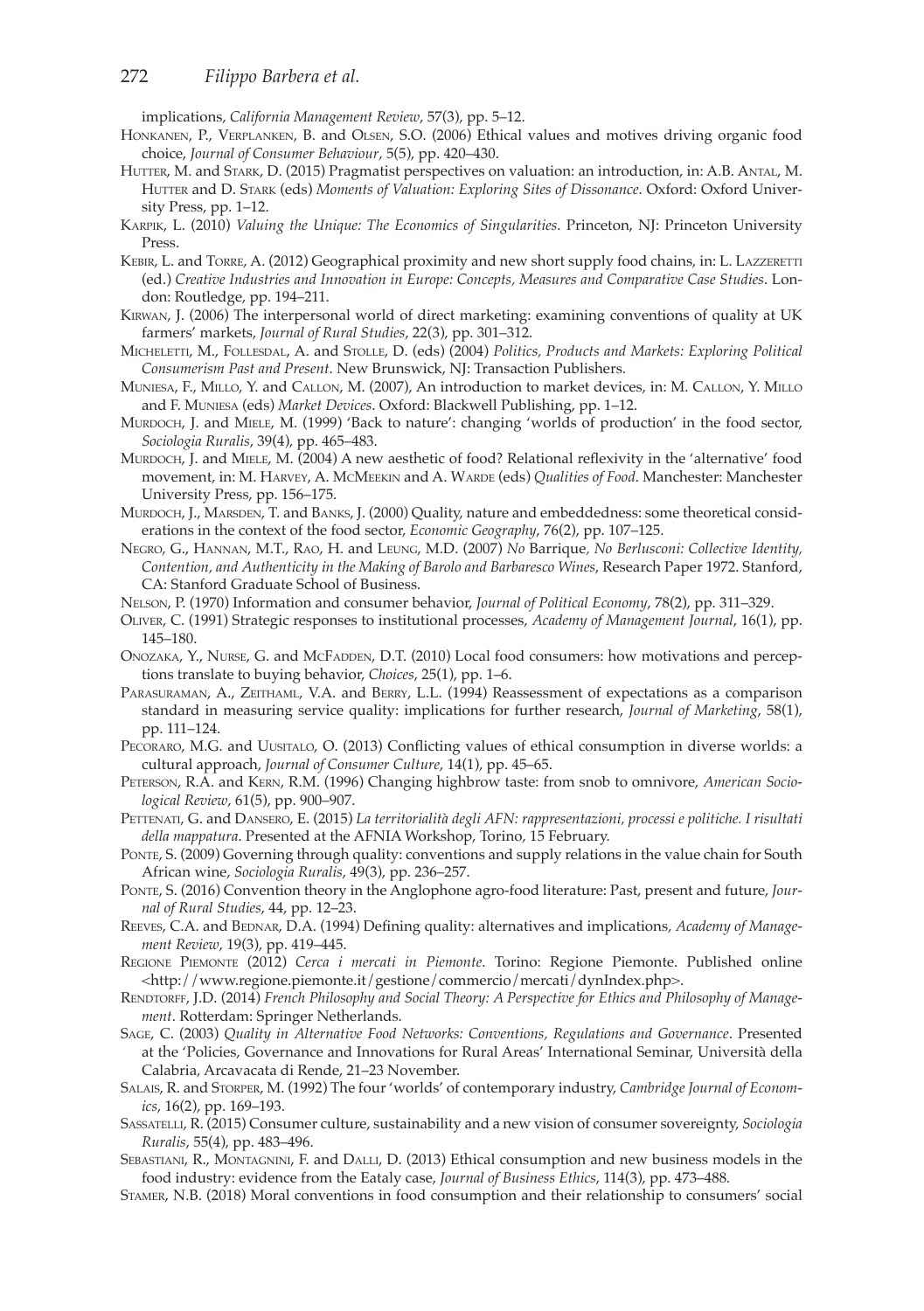implications, *California Management Review*, 57(3), pp. 5–12.

- Honkanen, P., Verplanken, B. and Olsen, S.O. (2006) Ethical values and motives driving organic food choice, *Journal of Consumer Behaviour*, 5(5), pp. 420–430.
- HUTTER, M. and STARK, D. (2015) Pragmatist perspectives on valuation: an introduction, in: A.B. ANTAL, M. HUTTER and D. STARK (eds) Moments of Valuation: Exploring Sites of Dissonance. Oxford: Oxford University Press, pp. 1–12.
- Karpik, L. (2010) *Valuing the Unique: The Economics of Singularities*. Princeton, NJ: Princeton University Press.
- Kebir, L. and Torre, A. (2012) Geographical proximity and new short supply food chains, in: L. Lazzeretti (ed.) *Creative Industries and Innovation in Europe: Concepts, Measures and Comparative Case Studies*. London: Routledge, pp. 194–211.
- Kirwan, J. (2006) The interpersonal world of direct marketing: examining conventions of quality at UK farmers' markets, *Journal of Rural Studies*, 22(3), pp. 301–312.
- Micheletti, M., Follesdal, A. and Stolle, D. (eds) (2004) *Politics, Products and Markets: Exploring Political Consumerism Past and Present*. New Brunswick, NJ: Transaction Publishers.
- Muniesa, F., Millo, Y. and Callon, M. (2007), An introduction to market devices, in: M. Callon, Y. Millo and F. Muniesa (eds) *Market Devices*. Oxford: Blackwell Publishing, pp. 1–12.
- Murdoch, J. and Miele, M. (1999) 'Back to nature': changing 'worlds of production' in the food sector, *Sociologia Ruralis*, 39(4), pp. 465–483.
- MURDOCH, J. and MIELE, M. (2004) A new aesthetic of food? Relational reflexivity in the 'alternative' food movement, in: M. HARVEY, A. MCMEEKIN and A. WARDE (eds) *Qualities of Food*. Manchester: Manchester University Press, pp. 156–175.
- MURDOCH, J., MARSDEN, T. and BANKS, J. (2000) Quality, nature and embeddedness: some theoretical considerations in the context of the food sector, *Economic Geography*, 76(2), pp. 107–125.
- Negro, G., Hannan, M.T., Rao, H. and Leung, M.D. (2007) *No* Barrique*, No Berlusconi: Collective Identity, Contention, and Authenticity in the Making of Barolo and Barbaresco Wines*, Research Paper 1972. Stanford, CA: Stanford Graduate School of Business.
- Nelson, P. (1970) Information and consumer behavior, *Journal of Political Economy*, 78(2), pp. 311–329.
- Oliver, C. (1991) Strategic responses to institutional processes, *Academy of Management Journal*, 16(1), pp. 145–180.
- Onozaka, Y., Nurse, G. and McFadden, D.T. (2010) Local food consumers: how motivations and perceptions translate to buying behavior, *Choices*, 25(1), pp. 1–6.
- Parasuraman, A., Zeithaml, V.A. and Berry, L.L. (1994) Reassessment of expectations as a comparison standard in measuring service quality: implications for further research, *Journal of Marketing*, 58(1), pp. 111–124.
- PECORARO, M.G. and UUSITALO, O. (2013) Conflicting values of ethical consumption in diverse worlds: a cultural approach, *Journal of Consumer Culture*, 14(1), pp. 45–65.
- Peterson, R.A. and Kern, R.M. (1996) Changing highbrow taste: from snob to omnivore, *American Sociological Review*, 61(5), pp. 900–907.
- PETTENATI, G. and DANSERO, E. (2015) La territorialità degli AFN: rappresentazioni, processi e politiche. I risultati *della mappatura*. Presented at the AFNIA Workshop, Torino, 15 February.
- PONTE, S. (2009) Governing through quality: conventions and supply relations in the value chain for South African wine, *Sociologia Ruralis*, 49(3), pp. 236–257.
- Ponte, S. (2016) Convention theory in the Anglophone agro-food literature: Past, present and future, *Journal of Rural Studies*, 44, pp. 12–23.
- REEVES, C.A. and BEDNAR, D.A. (1994) Defining quality: alternatives and implications, *Academy of Management Review*, 19(3), pp. 419–445.
- Regione Piemonte (2012) *Cerca i mercati in Piemonte*. Torino: Regione Piemonte. Published online <http://www.regione.piemonte.it/gestione/commercio/mercati/dynIndex.php>.
- RENDTORFF, J.D. (2014) *French Philosophy and Social Theory: A Perspective for Ethics and Philosophy of Management*. Rotterdam: Springer Netherlands.
- Sage, C. (2003) *Quality in Alternative Food Networks: Conventions, Regulations and Governance*. Presented at the 'Policies, Governance and Innovations for Rural Areas' International Seminar, Università della Calabria, Arcavacata di Rende, 21–23 November.
- Salais, R. and Storper, M. (1992) The four 'worlds' of contemporary industry, *Cambridge Journal of Economics*, 16(2), pp. 169–193.
- Sassatelli, R. (2015) Consumer culture, sustainability and a new vision of consumer sovereignty, *Sociologia Ruralis*, 55(4), pp. 483–496.
- Sebastiani, R., Montagnini, F. and Dalli, D. (2013) Ethical consumption and new business models in the food industry: evidence from the Eataly case, *Journal of Business Ethics*, 114(3), pp. 473–488.
- Stamer, N.B. (2018) Moral conventions in food consumption and their relationship to consumers' social